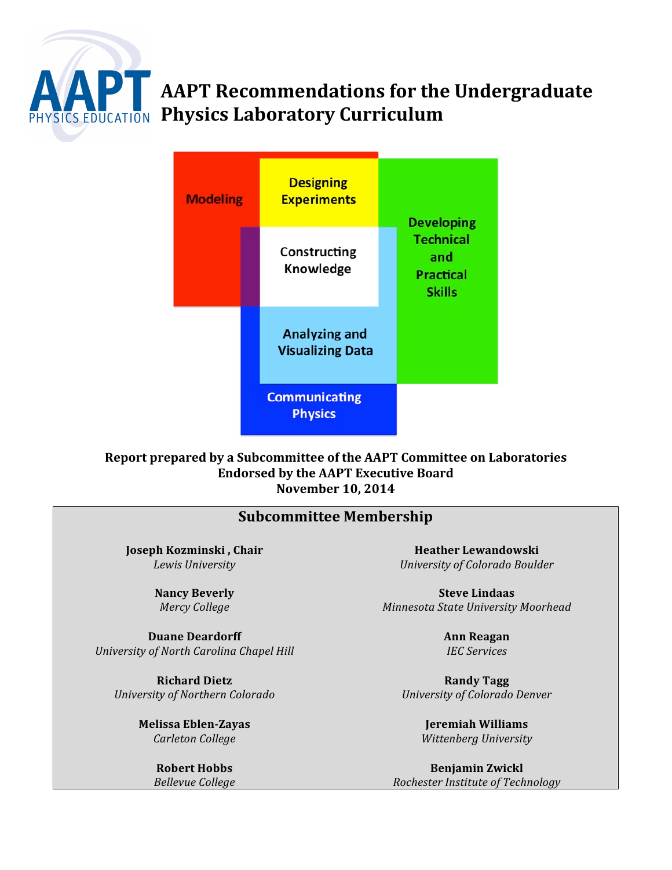

# **AAPT Recommendations for the Undergraduate PHYSICS EDUCATION Physics Laboratory Curriculum**



# Report prepared by a Subcommittee of the AAPT Committee on Laboratories **Endorsed by the AAPT Executive Board November\$10,\$2014**

| <b>Subcommittee Membership</b>           |                                     |  |  |  |  |
|------------------------------------------|-------------------------------------|--|--|--|--|
| Joseph Kozminski, Chair                  | <b>Heather Lewandowski</b>          |  |  |  |  |
| Lewis University                         | University of Colorado Boulder      |  |  |  |  |
| <b>Nancy Beverly</b>                     | <b>Steve Lindaas</b>                |  |  |  |  |
| Mercy College                            | Minnesota State University Moorhead |  |  |  |  |
| <b>Duane Deardorff</b>                   | <b>Ann Reagan</b>                   |  |  |  |  |
| University of North Carolina Chapel Hill | <b>IEC Services</b>                 |  |  |  |  |
| <b>Richard Dietz</b>                     | <b>Randy Tagg</b>                   |  |  |  |  |
| University of Northern Colorado          | University of Colorado Denver       |  |  |  |  |
| <b>Melissa Eblen-Zayas</b>               | Jeremiah Williams                   |  |  |  |  |
| Carleton College                         | Wittenberg University               |  |  |  |  |
| <b>Robert Hobbs</b>                      | <b>Benjamin Zwickl</b>              |  |  |  |  |
| <b>Bellevue College</b>                  | Rochester Institute of Technology   |  |  |  |  |

*Bellevue&College*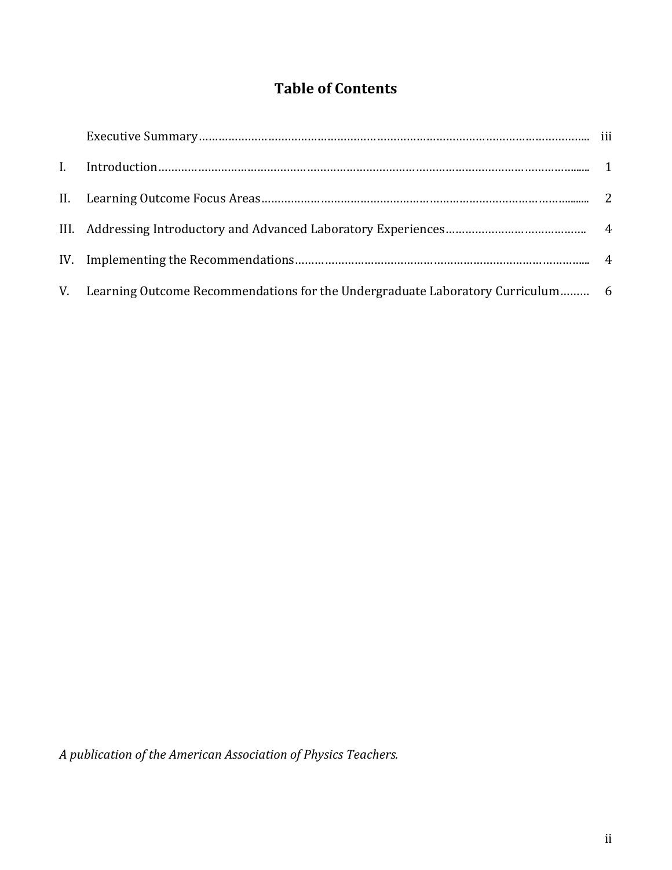# **Table of Contents**

| V. Learning Outcome Recommendations for the Undergraduate Laboratory Curriculum 6 |  |
|-----------------------------------------------------------------------------------|--|

*A&publication&of&the&American&Association&of&Physics&Teachers.*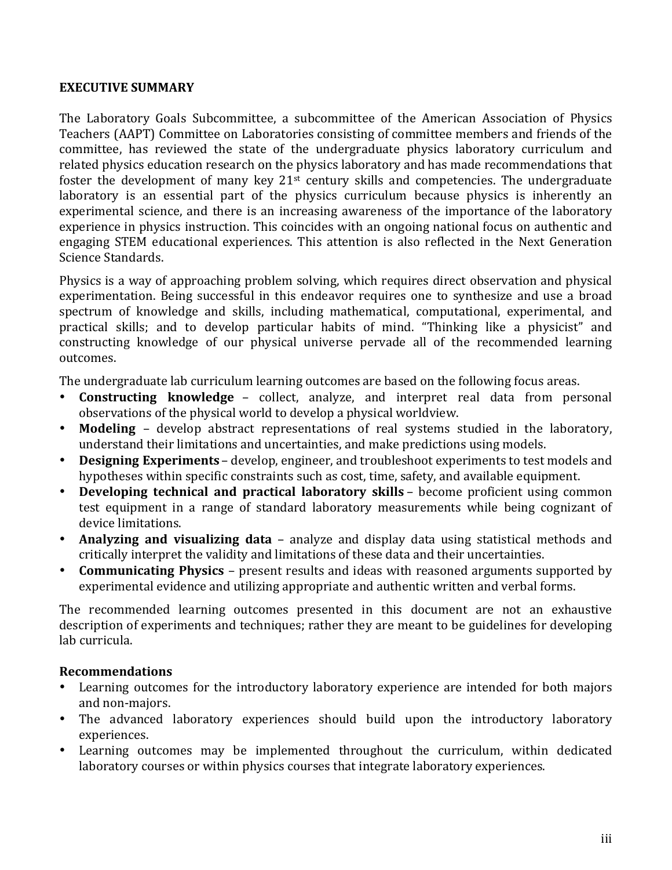# **EXECUTIVE SUMMARY**

The Laboratory Goals Subcommittee, a subcommittee of the American Association of Physics Teachers (AAPT) Committee on Laboratories consisting of committee members and friends of the committee, has reviewed the state of the undergraduate physics laboratory curriculum and related physics education research on the physics laboratory and has made recommendations that foster the development of many key  $21<sup>st</sup>$  century skills and competencies. The undergraduate laboratory is an essential part of the physics curriculum because physics is inherently an experimental science, and there is an increasing awareness of the importance of the laboratory experience in physics instruction. This coincides with an ongoing national focus on authentic and engaging STEM educational experiences. This attention is also reflected in the Next Generation Science Standards.

Physics is a way of approaching problem solving, which requires direct observation and physical experimentation. Being successful in this endeavor requires one to synthesize and use a broad spectrum of knowledge and skills, including mathematical, computational, experimental, and practical skills; and to develop particular habits of mind. "Thinking like a physicist" and constructing knowledge of our physical universe pervade all of the recommended learning outcomes.

The undergraduate lab curriculum learning outcomes are based on the following focus areas.

- **Constructing knowledge** collect, analyze, and interpret real data from personal observations of the physical world to develop a physical worldview.
- **Modeling** develop abstract representations of real systems studied in the laboratory, understand their limitations and uncertainties, and make predictions using models.
- **Designing Experiments** develop, engineer, and troubleshoot experiments to test models and hypotheses within specific constraints such as cost, time, safety, and available equipment.
- **Developing technical and practical laboratory skills** become proficient using common test equipment in a range of standard laboratory measurements while being cognizant of device limitations.
- **Analyzing and visualizing data** analyze and display data using statistical methods and critically interpret the validity and limitations of these data and their uncertainties.
- **Communicating Physics** present results and ideas with reasoned arguments supported by experimental evidence and utilizing appropriate and authentic written and verbal forms.

The recommended learning outcomes presented in this document are not an exhaustive description of experiments and techniques; rather they are meant to be guidelines for developing lab curricula.

# **Recommendations**

- Learning outcomes for the introductory laboratory experience are intended for both majors and non-majors.
- The advanced laboratory experiences should build upon the introductory laboratory experiences.
- Learning outcomes may be implemented throughout the curriculum, within dedicated laboratory courses or within physics courses that integrate laboratory experiences.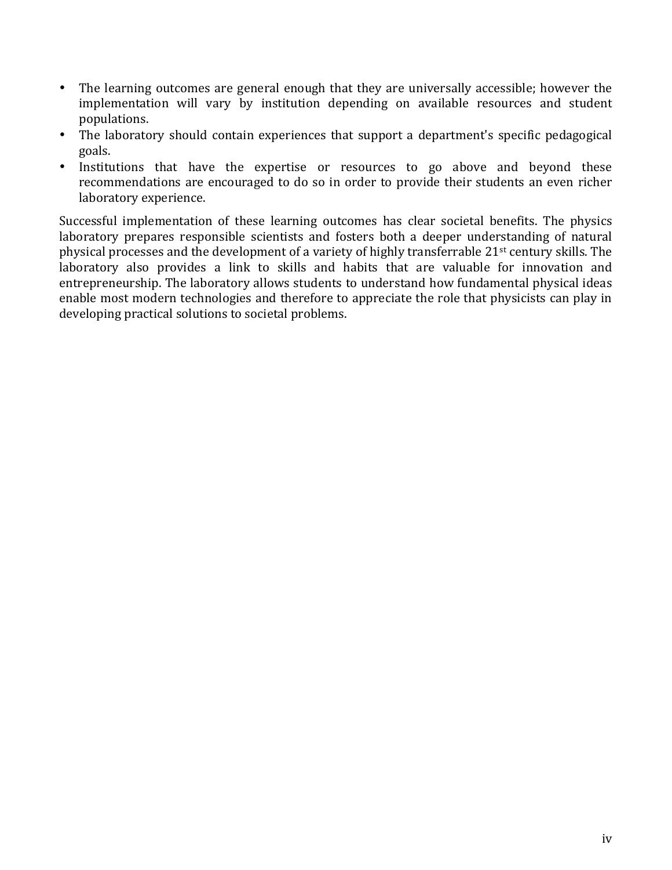- The learning outcomes are general enough that they are universally accessible; however the implementation will vary by institution depending on available resources and student populations."
- The laboratory should contain experiences that support a department's specific pedagogical goals.
- Institutions that have the expertise or resources to go above and beyond these recommendations are encouraged to do so in order to provide their students an even richer laboratory experience.

Successful implementation of these learning outcomes has clear societal benefits. The physics laboratory prepares responsible scientists and fosters both a deeper understanding of natural physical processes and the development of a variety of highly transferrable 21<sup>st</sup> century skills. The laboratory also provides a link to skills and habits that are valuable for innovation and entrepreneurship. The laboratory allows students to understand how fundamental physical ideas enable most modern technologies and therefore to appreciate the role that physicists can play in developing practical solutions to societal problems.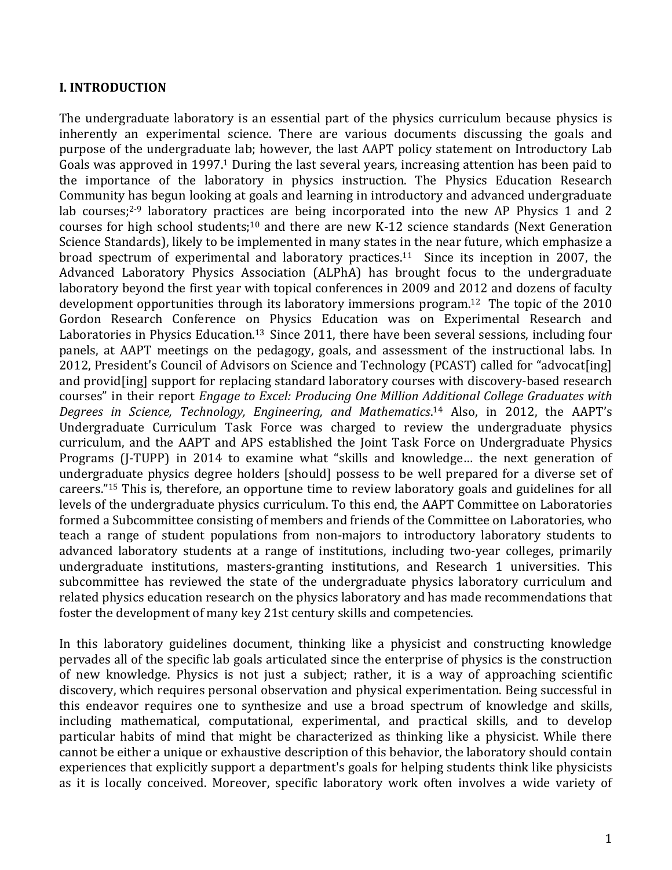# **I. INTRODUCTION**

The undergraduate laboratory is an essential part of the physics curriculum because physics is inherently an experimental science. There are various documents discussing the goals and purpose of the undergraduate lab; however, the last AAPT policy statement on Introductory Lab Goals was approved in 1997.<sup>1</sup> During the last several years, increasing attention has been paid to the importance of the laboratory in physics instruction. The Physics Education Research Community has begun looking at goals and learning in introductory and advanced undergraduate lab courses; $2-9$  laboratory practices are being incorporated into the new AP Physics 1 and 2 courses for high school students;<sup>10</sup> and there are new K-12 science standards (Next Generation Science Standards), likely to be implemented in many states in the near future, which emphasize a broad spectrum of experimental and laboratory practices.<sup>11</sup> Since its inception in 2007, the Advanced Laboratory Physics Association (ALPhA) has brought focus to the undergraduate laboratory beyond the first year with topical conferences in 2009 and 2012 and dozens of faculty development opportunities through its laboratory immersions program.<sup>12</sup> The topic of the  $2010$ Gordon Research Conference on Physics Education was on Experimental Research and Laboratories in Physics Education.<sup>13</sup> Since 2011, there have been several sessions, including four panels, at AAPT meetings on the pedagogy, goals, and assessment of the instructional labs. In 2012, President's Council of Advisors on Science and Technology (PCAST) called for "advocat[ing] and provid[ing] support for replacing standard laboratory courses with discovery-based research courses" in their report *Engage to Excel: Producing One Million Additional College Graduates with* Degrees in Science, Technology, Engineering, and Mathematics.<sup>14</sup> Also, in 2012, the AAPT's Undergraduate Curriculum Task Force was charged to review the undergraduate physics curriculum, and the AAPT and APS established the Joint Task Force on Undergraduate Physics Programs (J-TUPP) in 2014 to examine what "skills and knowledge... the next generation of undergraduate physics degree holders [should] possess to be well prepared for a diverse set of careers."<sup>15</sup> This is, therefore, an opportune time to review laboratory goals and guidelines for all levels of the undergraduate physics curriculum. To this end, the AAPT Committee on Laboratories formed a Subcommittee consisting of members and friends of the Committee on Laboratories, who teach a range of student populations from non-majors to introductory laboratory students to advanced laboratory students at a range of institutions, including two-year colleges, primarily undergraduate institutions, masters-granting institutions, and Research 1 universities. This subcommittee has reviewed the state of the undergraduate physics laboratory curriculum and related physics education research on the physics laboratory and has made recommendations that foster the development of many key 21st century skills and competencies.

In this laboratory guidelines document, thinking like a physicist and constructing knowledge pervades all of the specific lab goals articulated since the enterprise of physics is the construction of new knowledge. Physics is not just a subject; rather, it is a way of approaching scientific discovery, which requires personal observation and physical experimentation. Being successful in this endeavor requires one to synthesize and use a broad spectrum of knowledge and skills, including mathematical, computational, experimental, and practical skills, and to develop particular habits of mind that might be characterized as thinking like a physicist. While there cannot be either a unique or exhaustive description of this behavior, the laboratory should contain experiences that explicitly support a department's goals for helping students think like physicists as it is locally conceived. Moreover, specific laboratory work often involves a wide variety of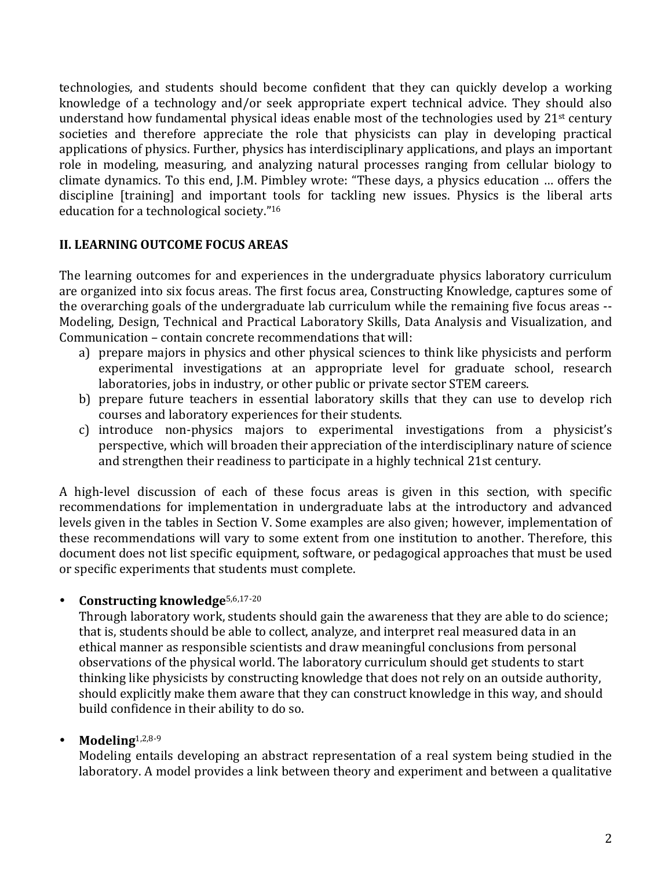technologies, and students should become confident that they can quickly develop a working knowledge of a technology and/or seek appropriate expert technical advice. They should also understand how fundamental physical ideas enable most of the technologies used by  $21<sup>st</sup>$  century societies and therefore appreciate the role that physicists can play in developing practical applications of physics. Further, physics has interdisciplinary applications, and plays an important role in modeling, measuring, and analyzing natural processes ranging from cellular biology to climate dynamics. To this end, J.M. Pimbley wrote: "These days, a physics education ... offers the discipline [training] and important tools for tackling new issues. Physics is the liberal arts education for a technological society."<sup>16</sup>

# **II. LEARNING OUTCOME FOCUS AREAS**

The learning outcomes for and experiences in the undergraduate physics laboratory curriculum are organized into six focus areas. The first focus area, Constructing Knowledge, captures some of the overarching goals of the undergraduate lab curriculum while the remaining five focus areas --Modeling, Design, Technical and Practical Laboratory Skills, Data Analysis and Visualization, and Communication – contain concrete recommendations that will:

- a) prepare majors in physics and other physical sciences to think like physicists and perform experimental investigations at an appropriate level for graduate school, research laboratories, jobs in industry, or other public or private sector STEM careers.
- b) prepare future teachers in essential laboratory skills that they can use to develop rich courses and laboratory experiences for their students.
- c) introduce non-physics majors to experimental investigations from a physicist's perspective, which will broaden their appreciation of the interdisciplinary nature of science and strengthen their readiness to participate in a highly technical 21st century.

A high-level discussion of each of these focus areas is given in this section, with specific recommendations for implementation in undergraduate labs at the introductory and advanced levels given in the tables in Section V. Some examples are also given; however, implementation of these recommendations will vary to some extent from one institution to another. Therefore, this document does not list specific equipment, software, or pedagogical approaches that must be used or specific experiments that students must complete.

• **Constructing knowledge**<sup>5,6,17-20</sup>

Through laboratory work, students should gain the awareness that they are able to do science; that is, students should be able to collect, analyze, and interpret real measured data in an ethical manner as responsible scientists and draw meaningful conclusions from personal observations of the physical world. The laboratory curriculum should get students to start thinking like physicists by constructing knowledge that does not rely on an outside authority, should explicitly make them aware that they can construct knowledge in this way, and should build confidence in their ability to do so.

# $\bullet$  **Modeling**<sup>1,2,8-9</sup>

Modeling entails developing an abstract representation of a real system being studied in the laboratory. A model provides a link between theory and experiment and between a qualitative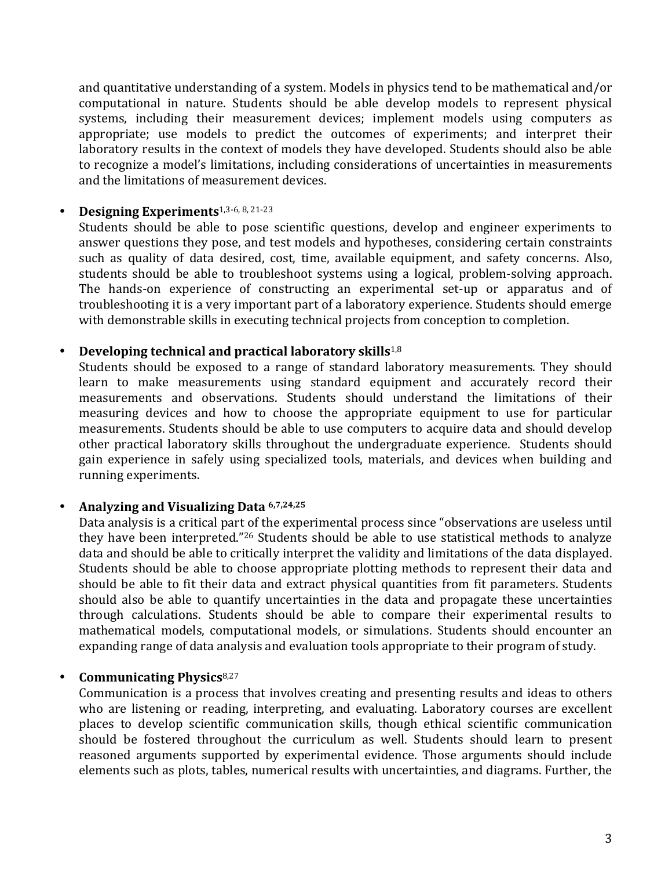and quantitative understanding of a system. Models in physics tend to be mathematical and/or computational in nature. Students should be able develop models to represent physical systems, including their measurement devices; implement models using computers as appropriate; use models to predict the outcomes of experiments; and interpret their laboratory results in the context of models they have developed. Students should also be able to recognize a model's limitations, including considerations of uncertainties in measurements and the limitations of measurement devices.

# **Designing Experiments**<sup>1,3-6, 8, 21-23</sup>

Students should be able to pose scientific questions, develop and engineer experiments to answer questions they pose, and test models and hypotheses, considering certain constraints such as quality of data desired, cost, time, available equipment, and safety concerns. Also, students should be able to troubleshoot systems using a logical, problem-solving approach. The hands-on experience of constructing an experimental set-up or apparatus and of troubleshooting it is a very important part of a laboratory experience. Students should emerge with demonstrable skills in executing technical projects from conception to completion.

# **Developing technical and practical laboratory skills**<sup>1,8</sup>

Students should be exposed to a range of standard laboratory measurements. They should learn to make measurements using standard equipment and accurately record their measurements and observations. Students should understand the limitations of their measuring devices and how to choose the appropriate equipment to use for particular measurements. Students should be able to use computers to acquire data and should develop other practical laboratory skills throughout the undergraduate experience. Students should gain experience in safely using specialized tools, materials, and devices when building and running experiments.

# Analyzing and Visualizing Data 6,7,24,25

Data analysis is a critical part of the experimental process since "observations are useless until" they have been interpreted."<sup>26</sup> Students should be able to use statistical methods to analyze data and should be able to critically interpret the validity and limitations of the data displayed. Students should be able to choose appropriate plotting methods to represent their data and should be able to fit their data and extract physical quantities from fit parameters. Students should also be able to quantify uncertainties in the data and propagate these uncertainties through calculations. Students should be able to compare their experimental results to mathematical models, computational models, or simulations. Students should encounter an expanding range of data analysis and evaluation tools appropriate to their program of study.

# **Communicating Physics**<sup>8,27</sup>

Communication is a process that involves creating and presenting results and ideas to others who are listening or reading, interpreting, and evaluating. Laboratory courses are excellent places to develop scientific communication skills, though ethical scientific communication should be fostered throughout the curriculum as well. Students should learn to present reasoned arguments supported by experimental evidence. Those arguments should include elements such as plots, tables, numerical results with uncertainties, and diagrams. Further, the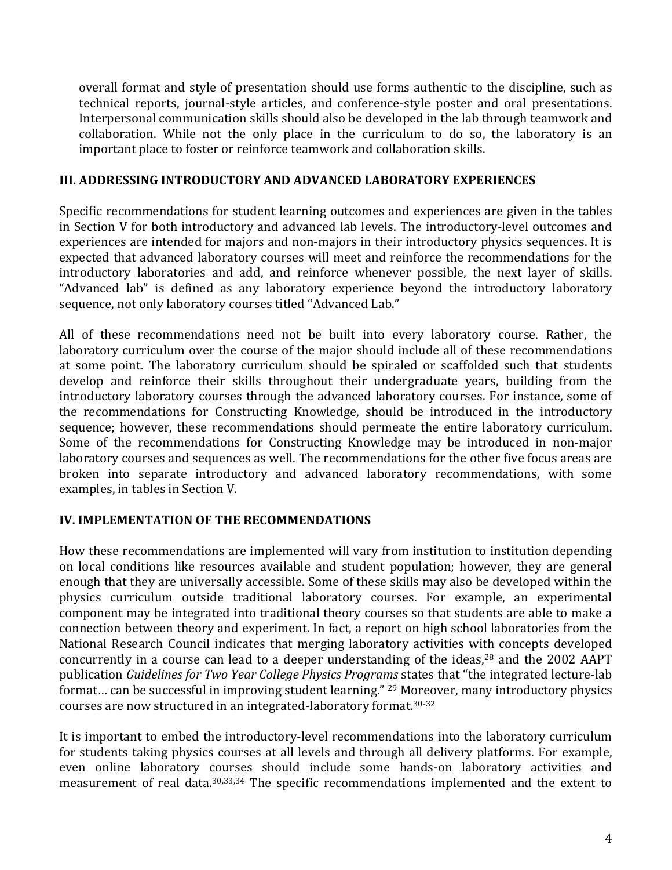overall format and style of presentation should use forms authentic to the discipline, such as technical reports, journal-style articles, and conference-style poster and oral presentations. Interpersonal communication skills should also be developed in the lab through teamwork and collaboration. While not the only place in the curriculum to do so, the laboratory is an important place to foster or reinforce teamwork and collaboration skills.

# **III. ADDRESSING INTRODUCTORY AND ADVANCED LABORATORY EXPERIENCES**

Specific recommendations for student learning outcomes and experiences are given in the tables in Section V for both introductory and advanced lab levels. The introductory-level outcomes and experiences are intended for majors and non-majors in their introductory physics sequences. It is expected that advanced laboratory courses will meet and reinforce the recommendations for the introductory laboratories and add, and reinforce whenever possible, the next layer of skills. "Advanced lab" is defined as any laboratory experience beyond the introductory laboratory sequence, not only laboratory courses titled "Advanced Lab."

All of these recommendations need not be built into every laboratory course. Rather, the laboratory curriculum over the course of the major should include all of these recommendations at some point. The laboratory curriculum should be spiraled or scaffolded such that students develop and reinforce their skills throughout their undergraduate years, building from the introductory laboratory courses through the advanced laboratory courses. For instance, some of the recommendations for Constructing Knowledge, should be introduced in the introductory sequence; however, these recommendations should permeate the entire laboratory curriculum. Some of the recommendations for Constructing Knowledge may be introduced in non-major laboratory courses and sequences as well. The recommendations for the other five focus areas are broken into separate introductory and advanced laboratory recommendations, with some examples, in tables in Section V.

# **IV. IMPLEMENTATION OF THE RECOMMENDATIONS**

How these recommendations are implemented will vary from institution to institution depending on local conditions like resources available and student population; however, they are general enough that they are universally accessible. Some of these skills may also be developed within the physics curriculum outside traditional laboratory courses. For example, an experimental component may be integrated into traditional theory courses so that students are able to make a connection between theory and experiment. In fact, a report on high school laboratories from the National Research Council indicates that merging laboratory activities with concepts developed concurrently in a course can lead to a deeper understanding of the ideas, $28$  and the 2002 AAPT publication *Guidelines for Two Year College Physics Programs* states that "the integrated lecture-lab" format... can be successful in improving student learning."  $29$  Moreover, many introductory physics courses are now structured in an integrated-laboratory format.<sup>30-32</sup>

It is important to embed the introductory-level recommendations into the laboratory curriculum for students taking physics courses at all levels and through all delivery platforms. For example, even online laboratory courses should include some hands-on laboratory activities and measurement of real data.<sup>30,33,34</sup> The specific recommendations implemented and the extent to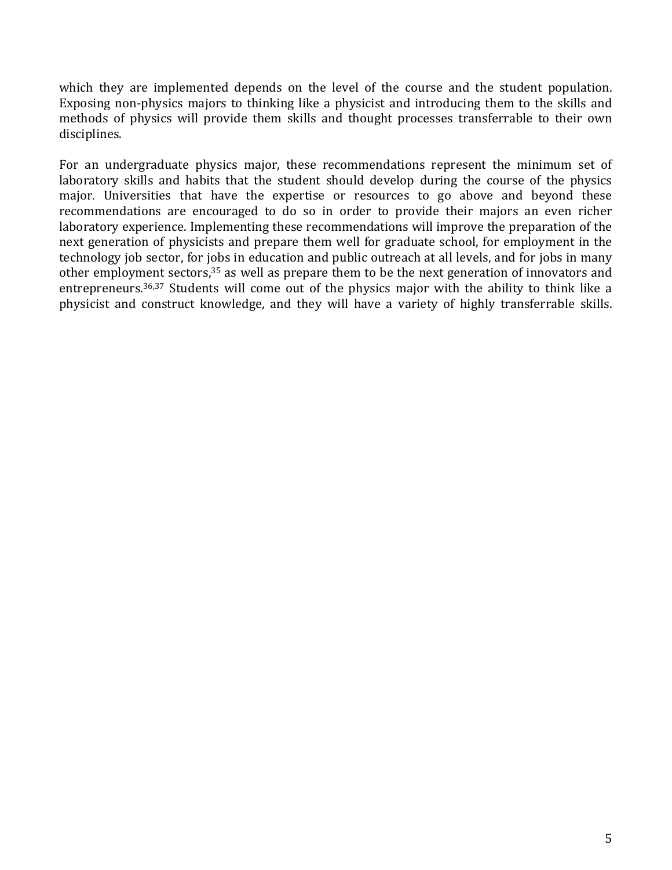which they are implemented depends on the level of the course and the student population. Exposing non-physics majors to thinking like a physicist and introducing them to the skills and methods of physics will provide them skills and thought processes transferrable to their own disciplines.

For an undergraduate physics major, these recommendations represent the minimum set of laboratory skills and habits that the student should develop during the course of the physics major. Universities that have the expertise or resources to go above and beyond these recommendations are encouraged to do so in order to provide their majors an even richer laboratory experience. Implementing these recommendations will improve the preparation of the next generation of physicists and prepare them well for graduate school, for employment in the technology job sector, for jobs in education and public outreach at all levels, and for jobs in many other employment sectors, $35$  as well as prepare them to be the next generation of innovators and entrepreneurs.<sup>36,37</sup> Students will come out of the physics major with the ability to think like a physicist and construct knowledge, and they will have a variety of highly transferrable skills.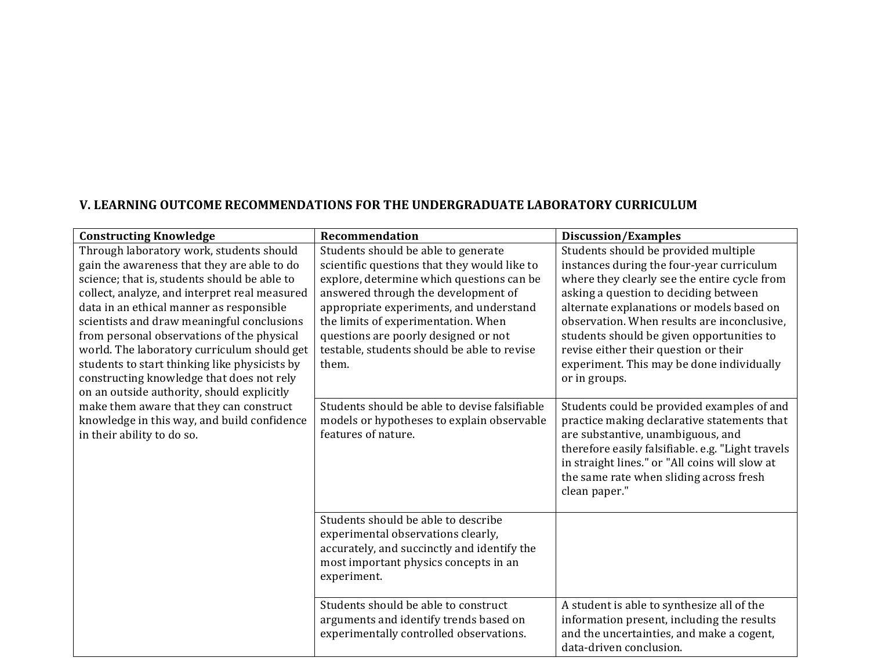# **V. LEARNING OUTCOME RECOMMENDATIONS FOR THE UNDERGRADUATE LABORATORY CURRICULUM**

| <b>Constructing Knowledge</b>                 | Recommendation                                | <b>Discussion/Examples</b>                                                             |
|-----------------------------------------------|-----------------------------------------------|----------------------------------------------------------------------------------------|
| Through laboratory work, students should      | Students should be able to generate           | Students should be provided multiple                                                   |
| gain the awareness that they are able to do   | scientific questions that they would like to  | instances during the four-year curriculum                                              |
| science; that is, students should be able to  | explore, determine which questions can be     | where they clearly see the entire cycle from                                           |
| collect, analyze, and interpret real measured | answered through the development of           | asking a question to deciding between                                                  |
| data in an ethical manner as responsible      | appropriate experiments, and understand       | alternate explanations or models based on                                              |
| scientists and draw meaningful conclusions    | the limits of experimentation. When           | observation. When results are inconclusive,                                            |
| from personal observations of the physical    | questions are poorly designed or not          | students should be given opportunities to                                              |
| world. The laboratory curriculum should get   | testable, students should be able to revise   | revise either their question or their                                                  |
| students to start thinking like physicists by | them.                                         | experiment. This may be done individually                                              |
| constructing knowledge that does not rely     |                                               | or in groups.                                                                          |
| on an outside authority, should explicitly    |                                               |                                                                                        |
| make them aware that they can construct       | Students should be able to devise falsifiable | Students could be provided examples of and                                             |
| knowledge in this way, and build confidence   | models or hypotheses to explain observable    | practice making declarative statements that                                            |
| in their ability to do so.                    | features of nature.                           | are substantive, unambiguous, and<br>therefore easily falsifiable. e.g. "Light travels |
|                                               |                                               | in straight lines." or "All coins will slow at                                         |
|                                               |                                               | the same rate when sliding across fresh                                                |
|                                               |                                               | clean paper."                                                                          |
|                                               |                                               |                                                                                        |
|                                               | Students should be able to describe           |                                                                                        |
|                                               | experimental observations clearly,            |                                                                                        |
|                                               | accurately, and succinctly and identify the   |                                                                                        |
|                                               | most important physics concepts in an         |                                                                                        |
|                                               | experiment.                                   |                                                                                        |
|                                               |                                               |                                                                                        |
|                                               | Students should be able to construct          | A student is able to synthesize all of the                                             |
|                                               | arguments and identify trends based on        | information present, including the results                                             |
|                                               | experimentally controlled observations.       | and the uncertainties, and make a cogent,                                              |
|                                               |                                               | data-driven conclusion.                                                                |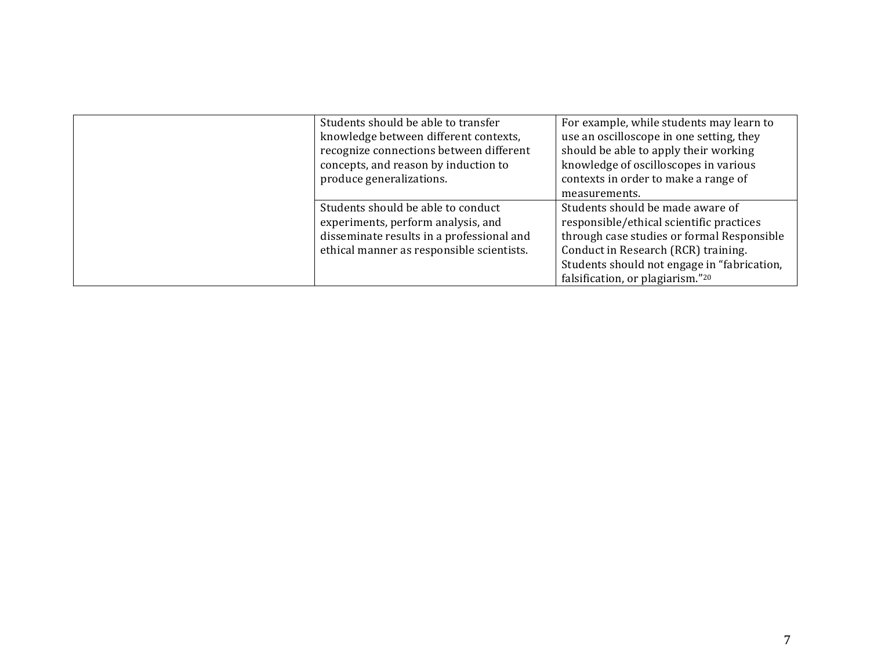| Students should be able to transfer       | For example, while students may learn to    |
|-------------------------------------------|---------------------------------------------|
| knowledge between different contexts,     | use an oscilloscope in one setting, they    |
| recognize connections between different   | should be able to apply their working       |
| concepts, and reason by induction to      | knowledge of oscilloscopes in various       |
| produce generalizations.                  | contexts in order to make a range of        |
|                                           | measurements.                               |
| Students should be able to conduct        | Students should be made aware of            |
| experiments, perform analysis, and        | responsible/ethical scientific practices    |
| disseminate results in a professional and | through case studies or formal Responsible  |
| ethical manner as responsible scientists. | Conduct in Research (RCR) training.         |
|                                           | Students should not engage in "fabrication, |
|                                           | falsification, or plagiarism."20            |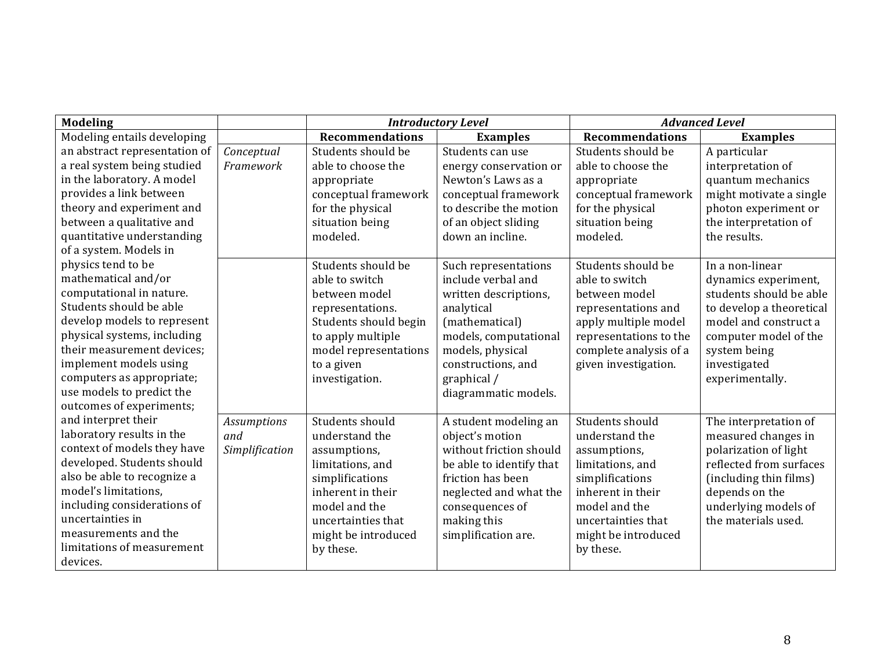| <b>Modeling</b>               |                    |                        | <b>Introductory Level</b> | <b>Advanced Level</b>  |                          |
|-------------------------------|--------------------|------------------------|---------------------------|------------------------|--------------------------|
| Modeling entails developing   |                    | <b>Recommendations</b> | <b>Examples</b>           | <b>Recommendations</b> | <b>Examples</b>          |
| an abstract representation of | Conceptual         | Students should be     | Students can use          | Students should be     | A particular             |
| a real system being studied   | Framework          | able to choose the     | energy conservation or    | able to choose the     | interpretation of        |
| in the laboratory. A model    |                    | appropriate            | Newton's Laws as a        | appropriate            | quantum mechanics        |
| provides a link between       |                    | conceptual framework   | conceptual framework      | conceptual framework   | might motivate a single  |
| theory and experiment and     |                    | for the physical       | to describe the motion    | for the physical       | photon experiment or     |
| between a qualitative and     |                    | situation being        | of an object sliding      | situation being        | the interpretation of    |
| quantitative understanding    |                    | modeled.               | down an incline.          | modeled.               | the results.             |
| of a system. Models in        |                    |                        |                           |                        |                          |
| physics tend to be            |                    | Students should be     | Such representations      | Students should be     | In a non-linear          |
| mathematical and/or           |                    | able to switch         | include verbal and        | able to switch         | dynamics experiment,     |
| computational in nature.      |                    | between model          | written descriptions,     | between model          | students should be able  |
| Students should be able       |                    | representations.       | analytical                | representations and    | to develop a theoretical |
| develop models to represent   |                    | Students should begin  | (mathematical)            | apply multiple model   | model and construct a    |
| physical systems, including   |                    | to apply multiple      | models, computational     | representations to the | computer model of the    |
| their measurement devices:    |                    | model representations  | models, physical          | complete analysis of a | system being             |
| implement models using        |                    | to a given             | constructions, and        | given investigation.   | investigated             |
| computers as appropriate;     |                    | investigation.         | graphical /               |                        | experimentally.          |
| use models to predict the     |                    |                        | diagrammatic models.      |                        |                          |
| outcomes of experiments;      |                    |                        |                           |                        |                          |
| and interpret their           | <b>Assumptions</b> | Students should        | A student modeling an     | Students should        | The interpretation of    |
| laboratory results in the     | and                | understand the         | object's motion           | understand the         | measured changes in      |
| context of models they have   | Simplification     | assumptions,           | without friction should   | assumptions,           | polarization of light    |
| developed. Students should    |                    | limitations, and       | be able to identify that  | limitations, and       | reflected from surfaces  |
| also be able to recognize a   |                    | simplifications        | friction has been         | simplifications        | (including thin films)   |
| model's limitations,          |                    | inherent in their      | neglected and what the    | inherent in their      | depends on the           |
| including considerations of   |                    | model and the          | consequences of           | model and the          | underlying models of     |
| uncertainties in              |                    | uncertainties that     | making this               | uncertainties that     | the materials used.      |
| measurements and the          |                    | might be introduced    | simplification are.       | might be introduced    |                          |
| limitations of measurement    |                    | by these.              |                           | by these.              |                          |
| devices.                      |                    |                        |                           |                        |                          |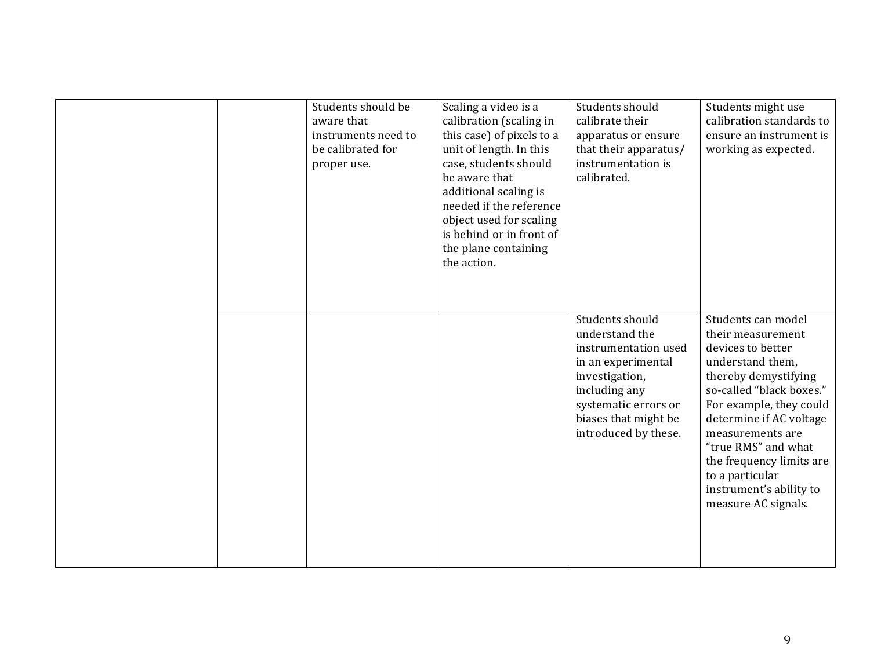| Students should be<br>aware that<br>instruments need to<br>be calibrated for<br>proper use. | Scaling a video is a<br>calibration (scaling in<br>this case) of pixels to a<br>unit of length. In this<br>case, students should<br>be aware that<br>additional scaling is<br>needed if the reference<br>object used for scaling<br>is behind or in front of<br>the plane containing<br>the action. | Students should<br>calibrate their<br>apparatus or ensure<br>that their apparatus/<br>instrumentation is<br>calibrated.                                                                    | Students might use<br>calibration standards to<br>ensure an instrument is<br>working as expected.                                                                                                                                                                                                                                      |
|---------------------------------------------------------------------------------------------|-----------------------------------------------------------------------------------------------------------------------------------------------------------------------------------------------------------------------------------------------------------------------------------------------------|--------------------------------------------------------------------------------------------------------------------------------------------------------------------------------------------|----------------------------------------------------------------------------------------------------------------------------------------------------------------------------------------------------------------------------------------------------------------------------------------------------------------------------------------|
|                                                                                             |                                                                                                                                                                                                                                                                                                     | Students should<br>understand the<br>instrumentation used<br>in an experimental<br>investigation,<br>including any<br>systematic errors or<br>biases that might be<br>introduced by these. | Students can model<br>their measurement<br>devices to better<br>understand them,<br>thereby demystifying<br>so-called "black boxes."<br>For example, they could<br>determine if AC voltage<br>measurements are<br>"true RMS" and what<br>the frequency limits are<br>to a particular<br>instrument's ability to<br>measure AC signals. |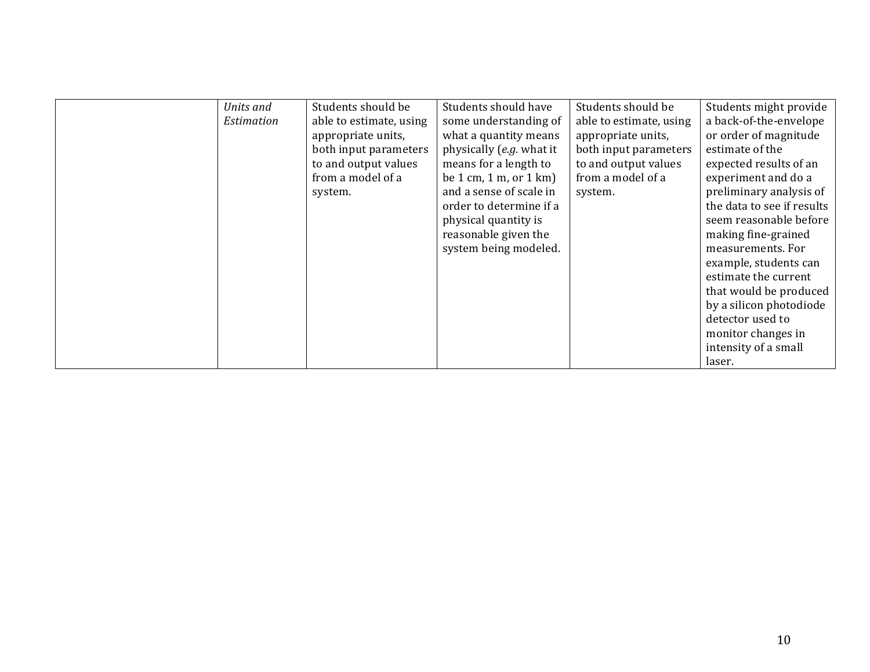| Units and  | Students should be      | Students should have                                    | Students should be      | Students might provide     |
|------------|-------------------------|---------------------------------------------------------|-------------------------|----------------------------|
| Estimation | able to estimate, using | some understanding of                                   | able to estimate, using | a back-of-the-envelope     |
|            | appropriate units,      | what a quantity means                                   | appropriate units,      | or order of magnitude      |
|            | both input parameters   | physically (e.g. what it                                | both input parameters   | estimate of the            |
|            | to and output values    | means for a length to                                   | to and output values    | expected results of an     |
|            | from a model of a       | be $1 \text{ cm}$ , $1 \text{ m}$ , or $1 \text{ km}$ ) | from a model of a       | experiment and do a        |
|            | system.                 | and a sense of scale in                                 | system.                 | preliminary analysis of    |
|            |                         | order to determine if a                                 |                         | the data to see if results |
|            |                         | physical quantity is                                    |                         | seem reasonable before     |
|            |                         | reasonable given the                                    |                         | making fine-grained        |
|            |                         | system being modeled.                                   |                         | measurements. For          |
|            |                         |                                                         |                         | example, students can      |
|            |                         |                                                         |                         | estimate the current       |
|            |                         |                                                         |                         | that would be produced     |
|            |                         |                                                         |                         | by a silicon photodiode    |
|            |                         |                                                         |                         | detector used to           |
|            |                         |                                                         |                         | monitor changes in         |
|            |                         |                                                         |                         | intensity of a small       |
|            |                         |                                                         |                         | laser.                     |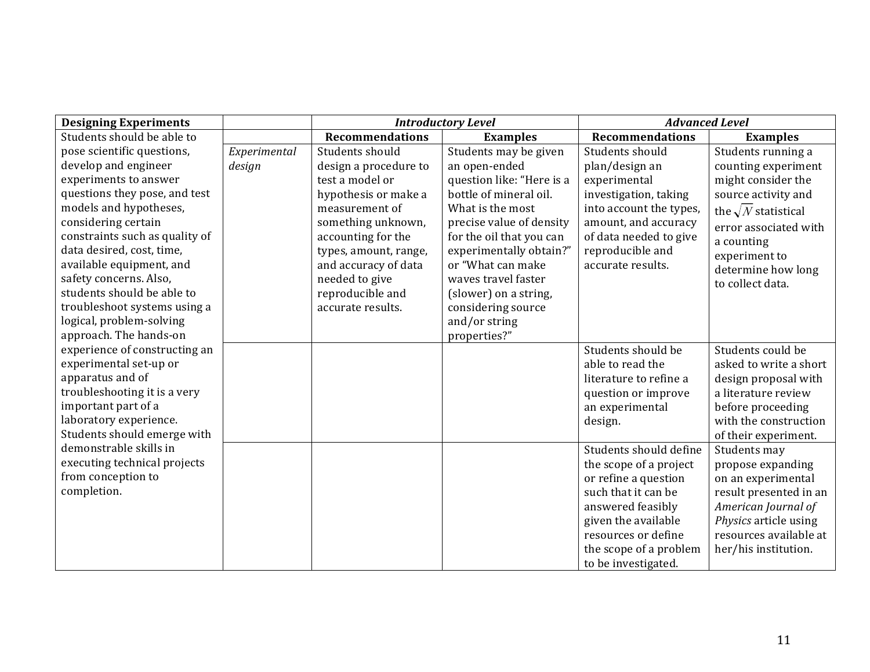| <b>Designing Experiments</b>                          |              |                        | <b>Introductory Level</b> | <b>Advanced Level</b>                      |                                                 |
|-------------------------------------------------------|--------------|------------------------|---------------------------|--------------------------------------------|-------------------------------------------------|
| Students should be able to                            |              | <b>Recommendations</b> | <b>Examples</b>           | <b>Recommendations</b>                     | <b>Examples</b>                                 |
| pose scientific questions,                            | Experimental | Students should        | Students may be given     | Students should                            | Students running a                              |
| develop and engineer                                  | design       | design a procedure to  | an open-ended             | plan/design an                             | counting experiment                             |
| experiments to answer                                 |              | test a model or        | question like: "Here is a | experimental                               | might consider the                              |
| questions they pose, and test                         |              | hypothesis or make a   | bottle of mineral oil.    | investigation, taking                      | source activity and                             |
| models and hypotheses,                                |              | measurement of         | What is the most          | into account the types,                    | the $\sqrt{N}$ statistical                      |
| considering certain                                   |              | something unknown,     | precise value of density  | amount, and accuracy                       | error associated with                           |
| constraints such as quality of                        |              | accounting for the     | for the oil that you can  | of data needed to give                     | a counting                                      |
| data desired, cost, time,                             |              | types, amount, range,  | experimentally obtain?"   | reproducible and                           | experiment to                                   |
| available equipment, and                              |              | and accuracy of data   | or "What can make         | accurate results.                          | determine how long                              |
| safety concerns. Also,                                |              | needed to give         | waves travel faster       |                                            | to collect data.                                |
| students should be able to                            |              | reproducible and       | (slower) on a string,     |                                            |                                                 |
| troubleshoot systems using a                          |              | accurate results.      | considering source        |                                            |                                                 |
| logical, problem-solving                              |              |                        | and/or string             |                                            |                                                 |
| approach. The hands-on                                |              |                        | properties?"              |                                            |                                                 |
| experience of constructing an                         |              |                        |                           | Students should be                         | Students could be                               |
| experimental set-up or                                |              |                        |                           | able to read the                           | asked to write a short                          |
| apparatus and of                                      |              |                        |                           | literature to refine a                     | design proposal with                            |
| troubleshooting it is a very                          |              |                        |                           | question or improve                        | a literature review                             |
| important part of a                                   |              |                        |                           | an experimental                            | before proceeding                               |
| laboratory experience.<br>Students should emerge with |              |                        |                           | design.                                    | with the construction                           |
| demonstrable skills in                                |              |                        |                           |                                            | of their experiment.                            |
| executing technical projects                          |              |                        |                           | Students should define                     | Students may                                    |
| from conception to                                    |              |                        |                           | the scope of a project                     | propose expanding                               |
| completion.                                           |              |                        |                           | or refine a question                       | on an experimental                              |
|                                                       |              |                        |                           | such that it can be                        | result presented in an                          |
|                                                       |              |                        |                           | answered feasibly                          | American Journal of                             |
|                                                       |              |                        |                           | given the available<br>resources or define | Physics article using<br>resources available at |
|                                                       |              |                        |                           |                                            |                                                 |
|                                                       |              |                        |                           | the scope of a problem                     | her/his institution.                            |
|                                                       |              |                        |                           | to be investigated.                        |                                                 |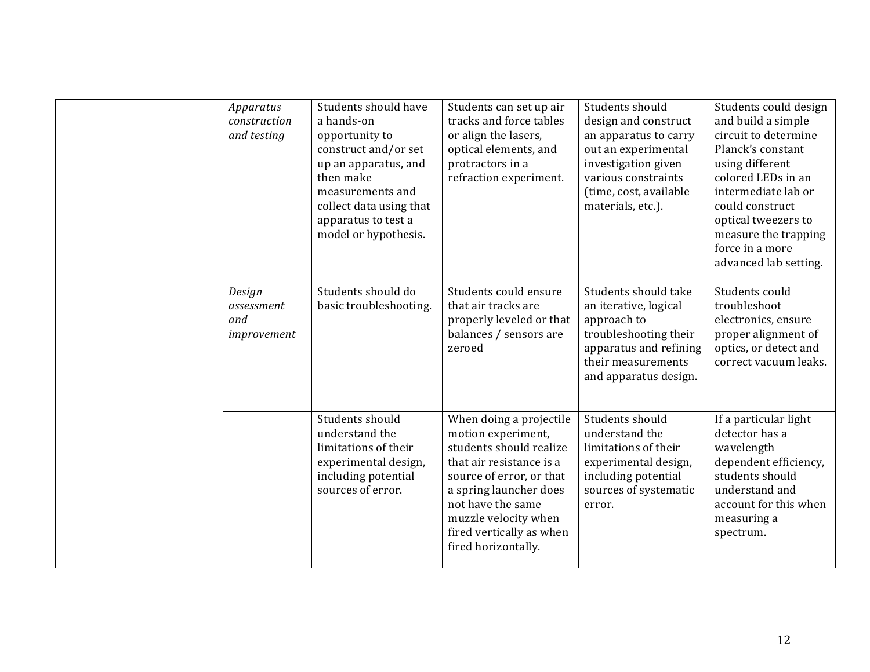| Apparatus<br>construction<br>and testing   | Students should have<br>a hands-on<br>opportunity to<br>construct and/or set<br>up an apparatus, and<br>then make<br>measurements and<br>collect data using that<br>apparatus to test a<br>model or hypothesis. | Students can set up air<br>tracks and force tables<br>or align the lasers,<br>optical elements, and<br>protractors in a<br>refraction experiment.                                                                                                          | Students should<br>design and construct<br>an apparatus to carry<br>out an experimental<br>investigation given<br>various constraints<br>(time, cost, available<br>materials, etc.). | Students could design<br>and build a simple<br>circuit to determine<br>Planck's constant<br>using different<br>colored LEDs in an<br>intermediate lab or<br>could construct<br>optical tweezers to<br>measure the trapping<br>force in a more<br>advanced lab setting. |
|--------------------------------------------|-----------------------------------------------------------------------------------------------------------------------------------------------------------------------------------------------------------------|------------------------------------------------------------------------------------------------------------------------------------------------------------------------------------------------------------------------------------------------------------|--------------------------------------------------------------------------------------------------------------------------------------------------------------------------------------|------------------------------------------------------------------------------------------------------------------------------------------------------------------------------------------------------------------------------------------------------------------------|
| Design<br>assessment<br>and<br>improvement | Students should do<br>basic troubleshooting.                                                                                                                                                                    | Students could ensure<br>that air tracks are<br>properly leveled or that<br>balances / sensors are<br>zeroed                                                                                                                                               | Students should take<br>an iterative, logical<br>approach to<br>troubleshooting their<br>apparatus and refining<br>their measurements<br>and apparatus design.                       | Students could<br>troubleshoot<br>electronics, ensure<br>proper alignment of<br>optics, or detect and<br>correct vacuum leaks.                                                                                                                                         |
|                                            | Students should<br>understand the<br>limitations of their<br>experimental design,<br>including potential<br>sources of error.                                                                                   | When doing a projectile<br>motion experiment,<br>students should realize<br>that air resistance is a<br>source of error, or that<br>a spring launcher does<br>not have the same<br>muzzle velocity when<br>fired vertically as when<br>fired horizontally. | Students should<br>understand the<br>limitations of their<br>experimental design,<br>including potential<br>sources of systematic<br>error.                                          | If a particular light<br>detector has a<br>wavelength<br>dependent efficiency,<br>students should<br>understand and<br>account for this when<br>measuring a<br>spectrum.                                                                                               |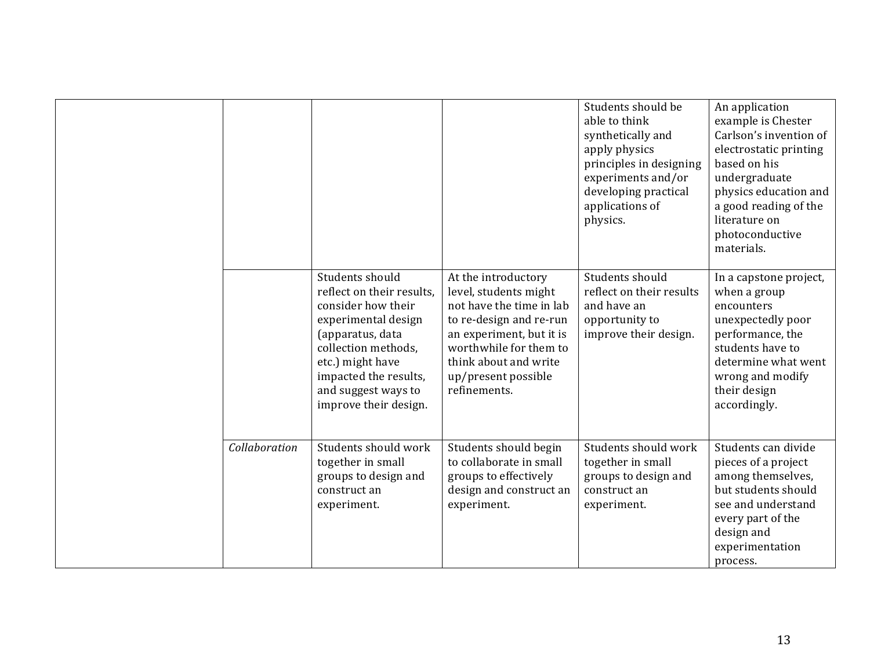|               |                                                                                                                                                                                                                                   |                                                                                                                                                                                                                           | Students should be<br>able to think<br>synthetically and<br>apply physics<br>principles in designing<br>experiments and/or<br>developing practical<br>applications of<br>physics. | An application<br>example is Chester<br>Carlson's invention of<br>electrostatic printing<br>based on his<br>undergraduate<br>physics education and<br>a good reading of the<br>literature on<br>photoconductive<br>materials. |
|---------------|-----------------------------------------------------------------------------------------------------------------------------------------------------------------------------------------------------------------------------------|---------------------------------------------------------------------------------------------------------------------------------------------------------------------------------------------------------------------------|-----------------------------------------------------------------------------------------------------------------------------------------------------------------------------------|-------------------------------------------------------------------------------------------------------------------------------------------------------------------------------------------------------------------------------|
|               | Students should<br>reflect on their results,<br>consider how their<br>experimental design<br>(apparatus, data<br>collection methods.<br>etc.) might have<br>impacted the results,<br>and suggest ways to<br>improve their design. | At the introductory<br>level, students might<br>not have the time in lab<br>to re-design and re-run<br>an experiment, but it is<br>worthwhile for them to<br>think about and write<br>up/present possible<br>refinements. | Students should<br>reflect on their results<br>and have an<br>opportunity to<br>improve their design.                                                                             | In a capstone project,<br>when a group<br>encounters<br>unexpectedly poor<br>performance, the<br>students have to<br>determine what went<br>wrong and modify<br>their design<br>accordingly.                                  |
| Collaboration | Students should work<br>together in small<br>groups to design and<br>construct an<br>experiment.                                                                                                                                  | Students should begin<br>to collaborate in small<br>groups to effectively<br>design and construct an<br>experiment.                                                                                                       | Students should work<br>together in small<br>groups to design and<br>construct an<br>experiment.                                                                                  | Students can divide<br>pieces of a project<br>among themselves,<br>but students should<br>see and understand<br>every part of the<br>design and<br>experimentation<br>process.                                                |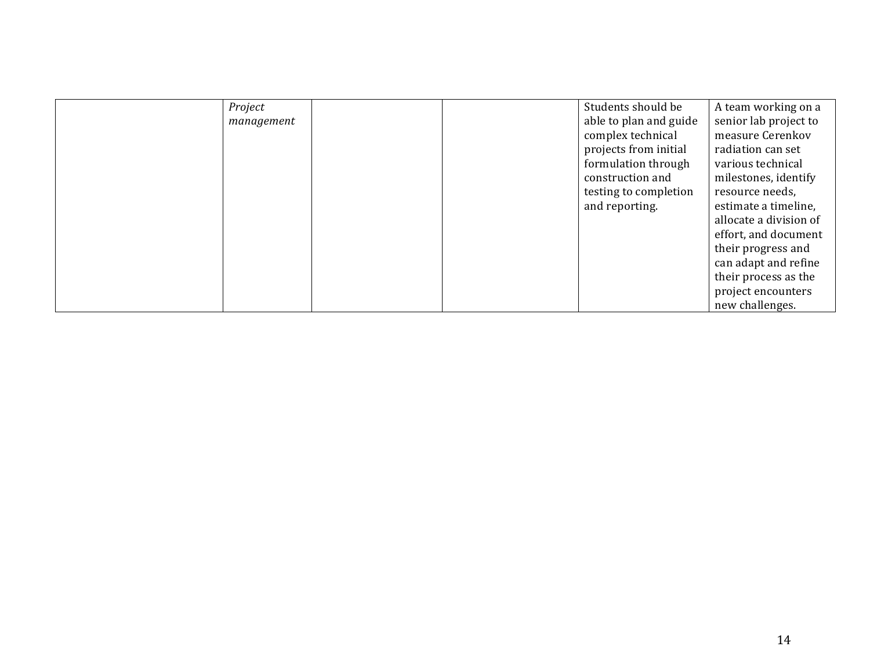| Project    |  | Students should be     | A team working on a    |
|------------|--|------------------------|------------------------|
| management |  | able to plan and guide | senior lab project to  |
|            |  | complex technical      | measure Cerenkov       |
|            |  | projects from initial  | radiation can set      |
|            |  | formulation through    | various technical      |
|            |  | construction and       | milestones, identify   |
|            |  | testing to completion  | resource needs,        |
|            |  | and reporting.         | estimate a timeline,   |
|            |  |                        | allocate a division of |
|            |  |                        | effort, and document   |
|            |  |                        | their progress and     |
|            |  |                        | can adapt and refine   |
|            |  |                        | their process as the   |
|            |  |                        | project encounters     |
|            |  |                        | new challenges.        |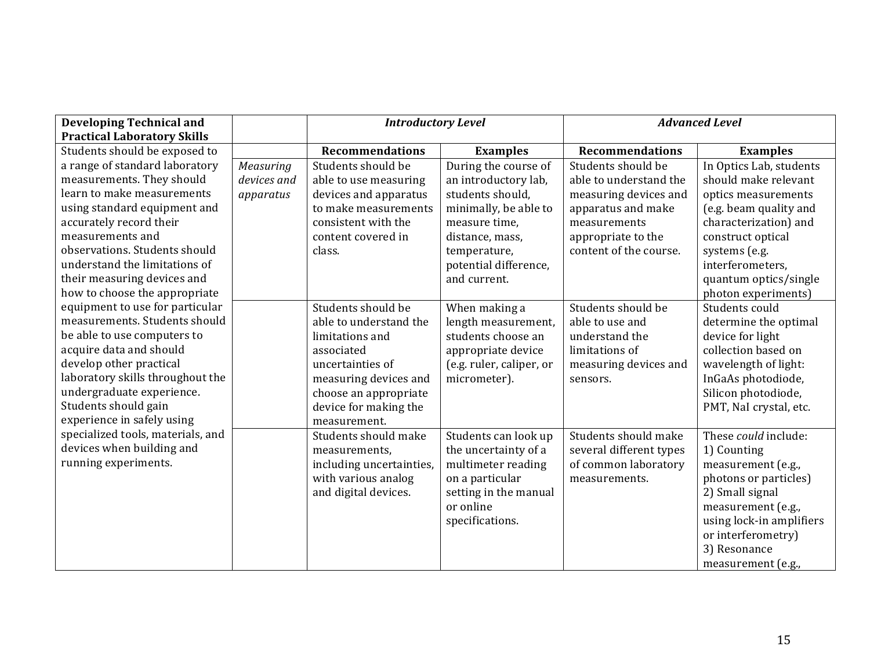| <b>Developing Technical and</b><br><b>Practical Laboratory Skills</b> |             | <b>Introductory Level</b> |                          | <b>Advanced Level</b>   |                          |
|-----------------------------------------------------------------------|-------------|---------------------------|--------------------------|-------------------------|--------------------------|
| Students should be exposed to                                         |             | <b>Recommendations</b>    | <b>Examples</b>          | <b>Recommendations</b>  | <b>Examples</b>          |
| a range of standard laboratory                                        | Measuring   | Students should be        | During the course of     | Students should be      | In Optics Lab, students  |
| measurements. They should                                             | devices and | able to use measuring     | an introductory lab,     | able to understand the  | should make relevant     |
| learn to make measurements                                            | apparatus   | devices and apparatus     | students should,         | measuring devices and   | optics measurements      |
| using standard equipment and                                          |             | to make measurements      | minimally, be able to    | apparatus and make      | (e.g. beam quality and   |
| accurately record their                                               |             | consistent with the       | measure time,            | measurements            | characterization) and    |
| measurements and                                                      |             | content covered in        | distance, mass,          | appropriate to the      | construct optical        |
| observations. Students should                                         |             | class.                    | temperature,             | content of the course.  | systems (e.g.            |
| understand the limitations of                                         |             |                           | potential difference,    |                         | interferometers,         |
| their measuring devices and                                           |             |                           | and current.             |                         | quantum optics/single    |
| how to choose the appropriate                                         |             |                           |                          |                         | photon experiments)      |
| equipment to use for particular                                       |             | Students should be        | When making a            | Students should be      | Students could           |
| measurements. Students should                                         |             | able to understand the    | length measurement,      | able to use and         | determine the optimal    |
| be able to use computers to                                           |             | limitations and           | students choose an       | understand the          | device for light         |
| acquire data and should                                               |             | associated                | appropriate device       | limitations of          | collection based on      |
| develop other practical                                               |             | uncertainties of          | (e.g. ruler, caliper, or | measuring devices and   | wavelength of light:     |
| laboratory skills throughout the                                      |             | measuring devices and     | micrometer).             | sensors.                | InGaAs photodiode,       |
| undergraduate experience.                                             |             | choose an appropriate     |                          |                         | Silicon photodiode,      |
| Students should gain                                                  |             | device for making the     |                          |                         | PMT, NaI crystal, etc.   |
| experience in safely using                                            |             | measurement.              |                          |                         |                          |
| specialized tools, materials, and                                     |             | Students should make      | Students can look up     | Students should make    | These could include:     |
| devices when building and                                             |             | measurements,             | the uncertainty of a     | several different types | 1) Counting              |
| running experiments.                                                  |             | including uncertainties,  | multimeter reading       | of common laboratory    | measurement (e.g.,       |
|                                                                       |             | with various analog       | on a particular          | measurements.           | photons or particles)    |
|                                                                       |             | and digital devices.      | setting in the manual    |                         | 2) Small signal          |
|                                                                       |             |                           | or online                |                         | measurement (e.g.,       |
|                                                                       |             |                           | specifications.          |                         | using lock-in amplifiers |
|                                                                       |             |                           |                          |                         | or interferometry)       |
|                                                                       |             |                           |                          |                         | 3) Resonance             |
|                                                                       |             |                           |                          |                         | measurement (e.g.,       |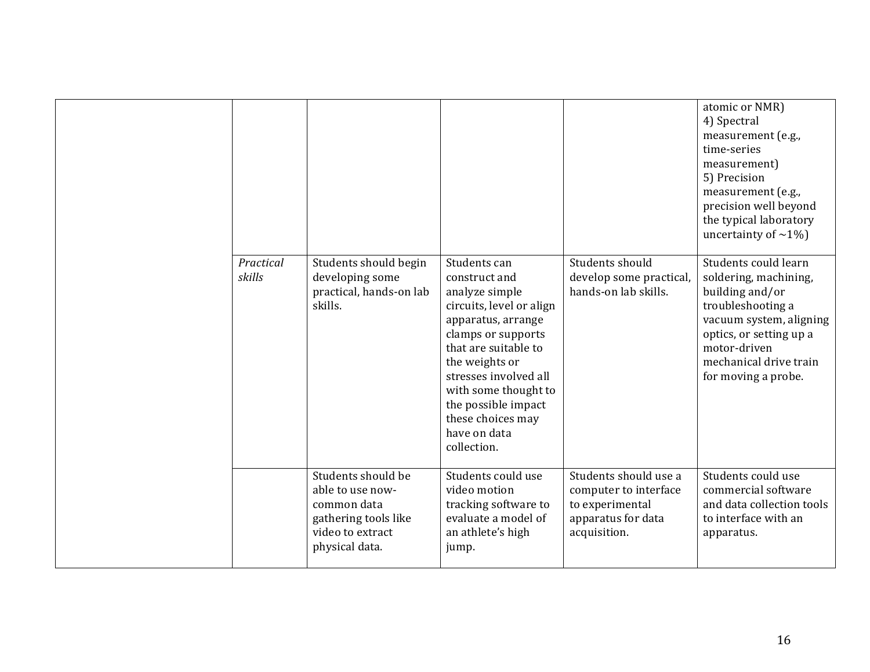| Practical<br>skills | Students should begin<br>developing some<br>practical, hands-on lab<br>skills.                                      | Students can<br>construct and<br>analyze simple<br>circuits, level or align<br>apparatus, arrange<br>clamps or supports<br>that are suitable to<br>the weights or<br>stresses involved all<br>with some thought to<br>the possible impact<br>these choices may<br>have on data<br>collection. | Students should<br>develop some practical,<br>hands-on lab skills.                                      | atomic or NMR)<br>4) Spectral<br>measurement (e.g.,<br>time-series<br>measurement)<br>5) Precision<br>measurement (e.g.,<br>precision well beyond<br>the typical laboratory<br>uncertainty of $\sim$ 1%)<br>Students could learn<br>soldering, machining,<br>building and/or<br>troubleshooting a<br>vacuum system, aligning<br>optics, or setting up a<br>motor-driven<br>mechanical drive train<br>for moving a probe. |
|---------------------|---------------------------------------------------------------------------------------------------------------------|-----------------------------------------------------------------------------------------------------------------------------------------------------------------------------------------------------------------------------------------------------------------------------------------------|---------------------------------------------------------------------------------------------------------|--------------------------------------------------------------------------------------------------------------------------------------------------------------------------------------------------------------------------------------------------------------------------------------------------------------------------------------------------------------------------------------------------------------------------|
|                     | Students should be<br>able to use now-<br>common data<br>gathering tools like<br>video to extract<br>physical data. | Students could use<br>video motion<br>tracking software to<br>evaluate a model of<br>an athlete's high<br>jump.                                                                                                                                                                               | Students should use a<br>computer to interface<br>to experimental<br>apparatus for data<br>acquisition. | Students could use<br>commercial software<br>and data collection tools<br>to interface with an<br>apparatus.                                                                                                                                                                                                                                                                                                             |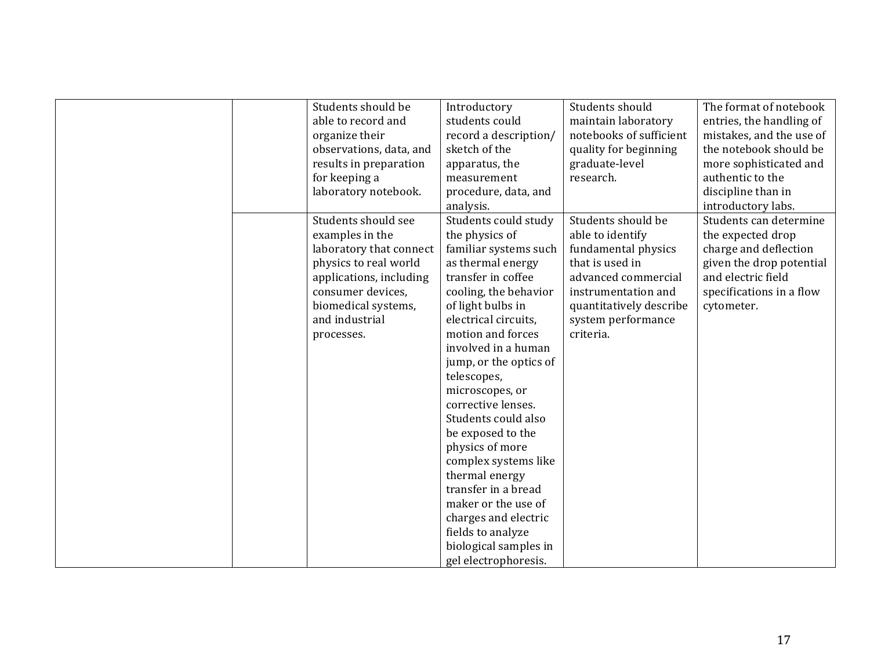| Students should be      | Introductory           | Students should         | The format of notebook   |
|-------------------------|------------------------|-------------------------|--------------------------|
| able to record and      | students could         | maintain laboratory     | entries, the handling of |
| organize their          | record a description/  | notebooks of sufficient | mistakes, and the use of |
| observations, data, and | sketch of the          | quality for beginning   | the notebook should be   |
| results in preparation  | apparatus, the         | graduate-level          | more sophisticated and   |
| for keeping a           | measurement            | research.               | authentic to the         |
| laboratory notebook.    | procedure, data, and   |                         | discipline than in       |
|                         | analysis.              |                         | introductory labs.       |
| Students should see     | Students could study   | Students should be      | Students can determine   |
| examples in the         | the physics of         | able to identify        | the expected drop        |
| laboratory that connect | familiar systems such  | fundamental physics     | charge and deflection    |
| physics to real world   | as thermal energy      | that is used in         | given the drop potential |
| applications, including | transfer in coffee     | advanced commercial     | and electric field       |
| consumer devices,       | cooling, the behavior  | instrumentation and     | specifications in a flow |
| biomedical systems,     | of light bulbs in      | quantitatively describe | cytometer.               |
| and industrial          | electrical circuits,   | system performance      |                          |
| processes.              | motion and forces      | criteria.               |                          |
|                         | involved in a human    |                         |                          |
|                         | jump, or the optics of |                         |                          |
|                         | telescopes,            |                         |                          |
|                         | microscopes, or        |                         |                          |
|                         | corrective lenses.     |                         |                          |
|                         | Students could also    |                         |                          |
|                         | be exposed to the      |                         |                          |
|                         | physics of more        |                         |                          |
|                         | complex systems like   |                         |                          |
|                         | thermal energy         |                         |                          |
|                         | transfer in a bread    |                         |                          |
|                         | maker or the use of    |                         |                          |
|                         | charges and electric   |                         |                          |
|                         | fields to analyze      |                         |                          |
|                         | biological samples in  |                         |                          |
|                         | gel electrophoresis.   |                         |                          |
|                         |                        |                         |                          |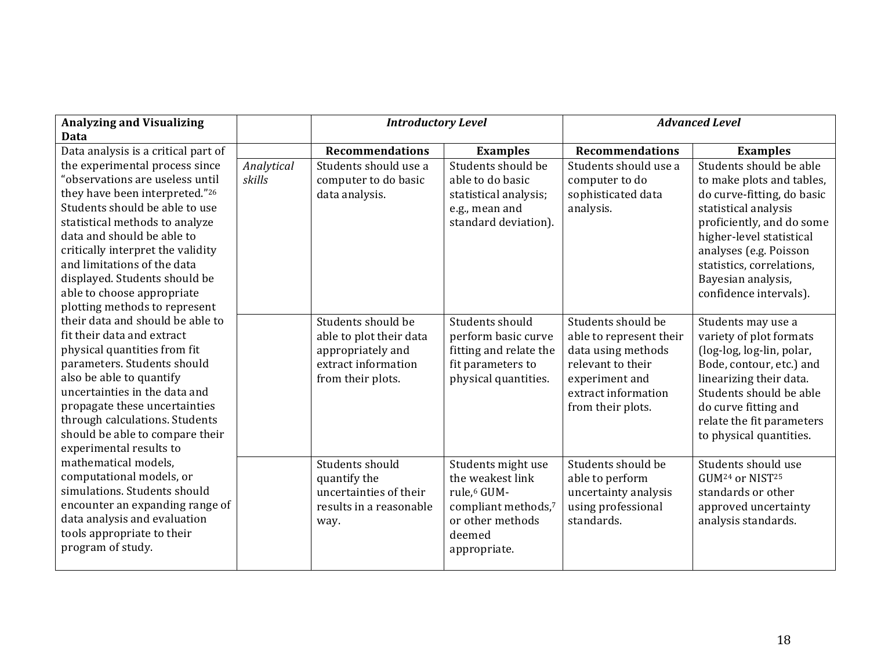| <b>Analyzing and Visualizing</b><br>Data                          |                      | <b>Introductory Level</b>                         |                                                | <b>Advanced Level</b>                         |                                                      |
|-------------------------------------------------------------------|----------------------|---------------------------------------------------|------------------------------------------------|-----------------------------------------------|------------------------------------------------------|
| Data analysis is a critical part of                               |                      | <b>Recommendations</b>                            | <b>Examples</b>                                | <b>Recommendations</b>                        | <b>Examples</b>                                      |
| the experimental process since<br>"observations are useless until | Analytical<br>skills | Students should use a<br>computer to do basic     | Students should be<br>able to do basic         | Students should use a<br>computer to do       | Students should be able<br>to make plots and tables, |
| they have been interpreted."26<br>Students should be able to use  |                      | data analysis.                                    | statistical analysis;<br>e.g., mean and        | sophisticated data<br>analysis.               | do curve-fitting, do basic<br>statistical analysis   |
| statistical methods to analyze                                    |                      |                                                   | standard deviation).                           |                                               | proficiently, and do some                            |
| data and should be able to<br>critically interpret the validity   |                      |                                                   |                                                |                                               | higher-level statistical<br>analyses (e.g. Poisson   |
| and limitations of the data                                       |                      |                                                   |                                                |                                               | statistics, correlations,                            |
| displayed. Students should be                                     |                      |                                                   |                                                |                                               | Bayesian analysis,                                   |
| able to choose appropriate<br>plotting methods to represent       |                      |                                                   |                                                |                                               | confidence intervals).                               |
| their data and should be able to                                  |                      | Students should be                                | Students should                                | Students should be                            | Students may use a                                   |
| fit their data and extract<br>physical quantities from fit        |                      | able to plot their data<br>appropriately and      | perform basic curve<br>fitting and relate the  | able to represent their<br>data using methods | variety of plot formats<br>(log-log, log-lin, polar, |
| parameters. Students should                                       |                      | extract information                               | fit parameters to                              | relevant to their                             | Bode, contour, etc.) and                             |
| also be able to quantify<br>uncertainties in the data and         |                      | from their plots.                                 | physical quantities.                           | experiment and<br>extract information         | linearizing their data.<br>Students should be able   |
| propagate these uncertainties                                     |                      |                                                   |                                                | from their plots.                             | do curve fitting and                                 |
| through calculations. Students                                    |                      |                                                   |                                                |                                               | relate the fit parameters                            |
| should be able to compare their<br>experimental results to        |                      |                                                   |                                                |                                               | to physical quantities.                              |
| mathematical models,                                              |                      | Students should                                   | Students might use                             | Students should be                            | Students should use                                  |
| computational models, or                                          |                      | quantify the                                      | the weakest link                               | able to perform                               | GUM <sup>24</sup> or NIST <sup>25</sup>              |
| simulations. Students should<br>encounter an expanding range of   |                      | uncertainties of their<br>results in a reasonable | rule, <sup>6</sup> GUM-<br>compliant methods,7 | uncertainty analysis<br>using professional    | standards or other<br>approved uncertainty           |
| data analysis and evaluation                                      |                      | way.                                              | or other methods                               | standards.                                    | analysis standards.                                  |
| tools appropriate to their                                        |                      |                                                   | deemed                                         |                                               |                                                      |
| program of study.                                                 |                      |                                                   | appropriate.                                   |                                               |                                                      |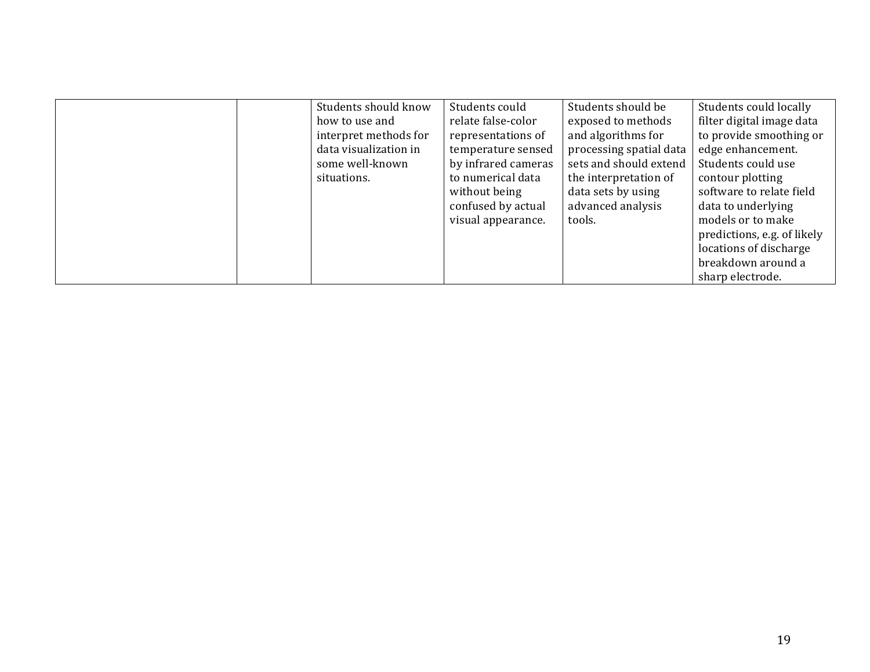| Students should know  | Students could      | Students should be      | Students could locally      |
|-----------------------|---------------------|-------------------------|-----------------------------|
| how to use and        | relate false-color  | exposed to methods      | filter digital image data   |
| interpret methods for | representations of  | and algorithms for      | to provide smoothing or     |
| data visualization in | temperature sensed  | processing spatial data | edge enhancement.           |
| some well-known       | by infrared cameras | sets and should extend  | Students could use          |
| situations.           | to numerical data   | the interpretation of   | contour plotting            |
|                       | without being       | data sets by using      | software to relate field    |
|                       | confused by actual  | advanced analysis       | data to underlying          |
|                       | visual appearance.  | tools.                  | models or to make           |
|                       |                     |                         | predictions, e.g. of likely |
|                       |                     |                         | locations of discharge      |
|                       |                     |                         | breakdown around a          |
|                       |                     |                         | sharp electrode.            |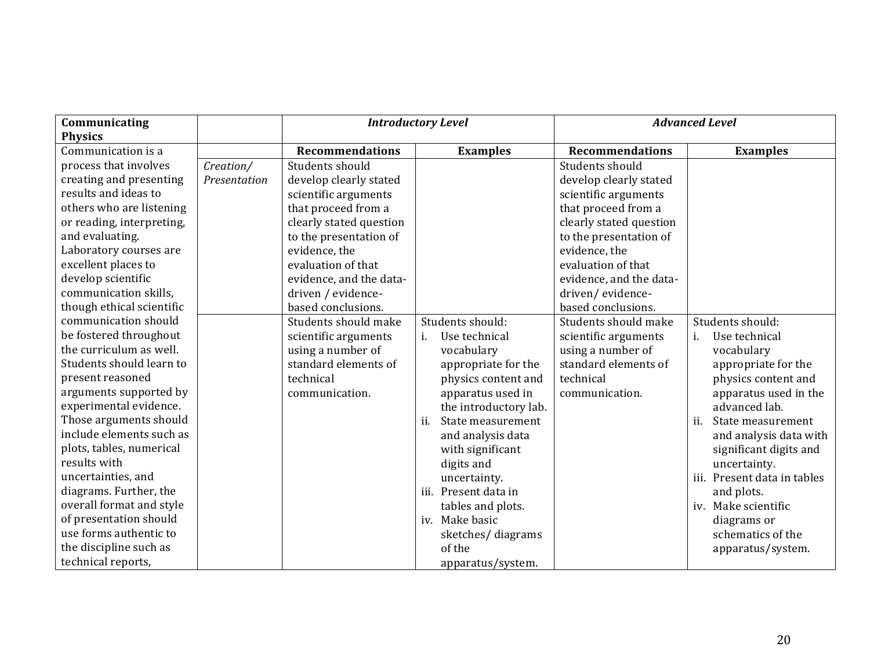| Communicating<br><b>Physics</b> |              | <b>Introductory Level</b> |                          | <b>Advanced Level</b>   |                             |
|---------------------------------|--------------|---------------------------|--------------------------|-------------------------|-----------------------------|
| Communication is a              |              | <b>Recommendations</b>    | <b>Examples</b>          | <b>Recommendations</b>  | <b>Examples</b>             |
| process that involves           | Creation/    | Students should           |                          | Students should         |                             |
| creating and presenting         | Presentation | develop clearly stated    |                          | develop clearly stated  |                             |
| results and ideas to            |              | scientific arguments      |                          | scientific arguments    |                             |
| others who are listening        |              | that proceed from a       |                          | that proceed from a     |                             |
| or reading, interpreting,       |              | clearly stated question   |                          | clearly stated question |                             |
| and evaluating.                 |              | to the presentation of    |                          | to the presentation of  |                             |
| Laboratory courses are          |              | evidence, the             |                          | evidence, the           |                             |
| excellent places to             |              | evaluation of that        |                          | evaluation of that      |                             |
| develop scientific              |              | evidence, and the data-   |                          | evidence, and the data- |                             |
| communication skills,           |              | driven / evidence-        |                          | driven/evidence-        |                             |
| though ethical scientific       |              | based conclusions.        |                          | based conclusions.      |                             |
| communication should            |              | Students should make      | Students should:         | Students should make    | Students should:            |
| be fostered throughout          |              | scientific arguments      | Use technical<br>i.      | scientific arguments    | Use technical<br>i.         |
| the curriculum as well.         |              | using a number of         | vocabulary               | using a number of       | vocabulary                  |
| Students should learn to        |              | standard elements of      | appropriate for the      | standard elements of    | appropriate for the         |
| present reasoned                |              | technical                 | physics content and      | technical               | physics content and         |
| arguments supported by          |              | communication.            | apparatus used in        | communication.          | apparatus used in the       |
| experimental evidence.          |              |                           | the introductory lab.    |                         | advanced lab.               |
| Those arguments should          |              |                           | State measurement<br>ij. |                         | ii.<br>State measurement    |
| include elements such as        |              |                           | and analysis data        |                         | and analysis data with      |
| plots, tables, numerical        |              |                           | with significant         |                         | significant digits and      |
| results with                    |              |                           | digits and               |                         | uncertainty.                |
| uncertainties, and              |              |                           | uncertainty.             |                         | iii. Present data in tables |
| diagrams. Further, the          |              |                           | iii. Present data in     |                         | and plots.                  |
| overall format and style        |              |                           | tables and plots.        |                         | iv. Make scientific         |
| of presentation should          |              |                           | iv. Make basic           |                         | diagrams or                 |
| use forms authentic to          |              |                           | sketches/diagrams        |                         | schematics of the           |
| the discipline such as          |              |                           | of the                   |                         | apparatus/system.           |
| technical reports,              |              |                           | apparatus/system.        |                         |                             |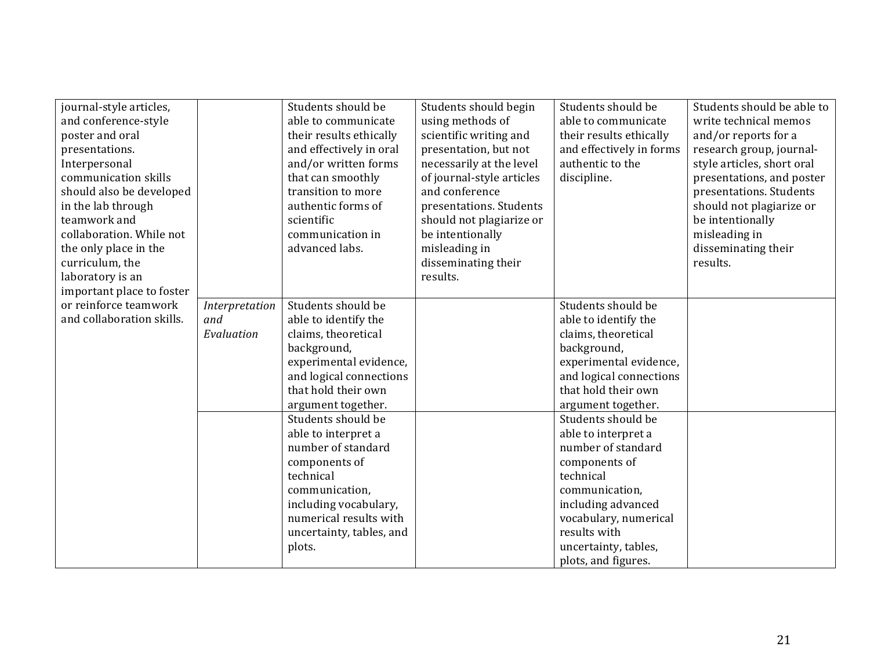| journal-style articles,<br>and conference-style<br>poster and oral<br>presentations.<br>Interpersonal<br>communication skills<br>should also be developed<br>in the lab through<br>teamwork and<br>collaboration. While not<br>the only place in the<br>curriculum, the<br>laboratory is an<br>important place to foster |                                     | Students should be<br>able to communicate<br>their results ethically<br>and effectively in oral<br>and/or written forms<br>that can smoothly<br>transition to more<br>authentic forms of<br>scientific<br>communication in<br>advanced labs.                                                                                                                                                   | Students should begin<br>using methods of<br>scientific writing and<br>presentation, but not<br>necessarily at the level<br>of journal-style articles<br>and conference<br>presentations. Students<br>should not plagiarize or<br>be intentionally<br>misleading in<br>disseminating their<br>results. | Students should be<br>able to communicate<br>their results ethically<br>and effectively in forms<br>authentic to the<br>discipline.                                                                                                                                                                                                                                                                                 | Students should be able to<br>write technical memos<br>and/or reports for a<br>research group, journal-<br>style articles, short oral<br>presentations, and poster<br>presentations. Students<br>should not plagiarize or<br>be intentionally<br>misleading in<br>disseminating their<br>results. |
|--------------------------------------------------------------------------------------------------------------------------------------------------------------------------------------------------------------------------------------------------------------------------------------------------------------------------|-------------------------------------|------------------------------------------------------------------------------------------------------------------------------------------------------------------------------------------------------------------------------------------------------------------------------------------------------------------------------------------------------------------------------------------------|--------------------------------------------------------------------------------------------------------------------------------------------------------------------------------------------------------------------------------------------------------------------------------------------------------|---------------------------------------------------------------------------------------------------------------------------------------------------------------------------------------------------------------------------------------------------------------------------------------------------------------------------------------------------------------------------------------------------------------------|---------------------------------------------------------------------------------------------------------------------------------------------------------------------------------------------------------------------------------------------------------------------------------------------------|
| or reinforce teamwork<br>and collaboration skills.                                                                                                                                                                                                                                                                       | Interpretation<br>and<br>Evaluation | Students should be<br>able to identify the<br>claims, theoretical<br>background,<br>experimental evidence,<br>and logical connections<br>that hold their own<br>argument together.<br>Students should be<br>able to interpret a<br>number of standard<br>components of<br>technical<br>communication,<br>including vocabulary,<br>numerical results with<br>uncertainty, tables, and<br>plots. |                                                                                                                                                                                                                                                                                                        | Students should be<br>able to identify the<br>claims, theoretical<br>background,<br>experimental evidence,<br>and logical connections<br>that hold their own<br>argument together.<br>Students should be<br>able to interpret a<br>number of standard<br>components of<br>technical<br>communication,<br>including advanced<br>vocabulary, numerical<br>results with<br>uncertainty, tables,<br>plots, and figures. |                                                                                                                                                                                                                                                                                                   |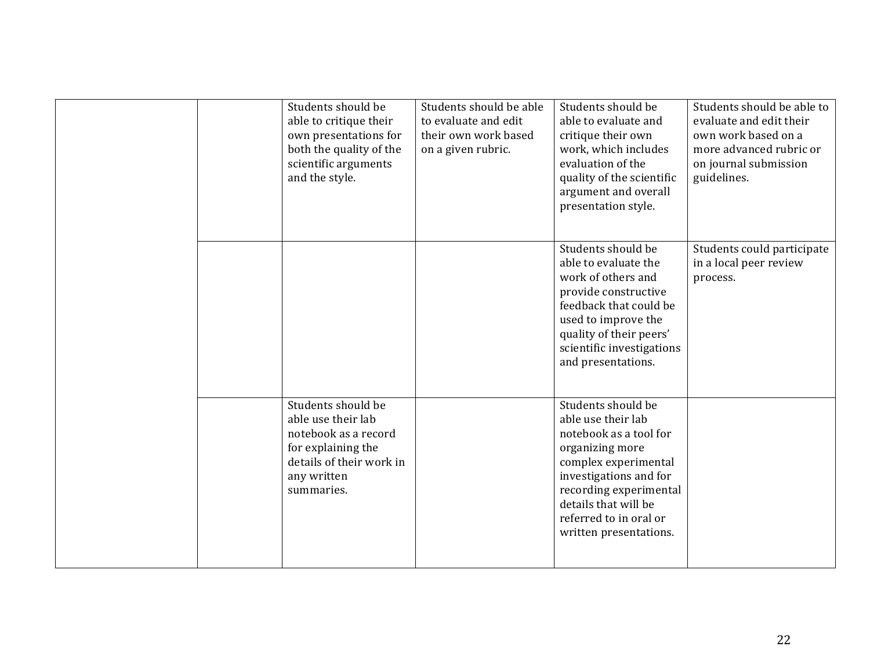|  | Students should be<br>able to critique their<br>own presentations for<br>both the quality of the<br>scientific arguments<br>and the style.      | Students should be able<br>to evaluate and edit<br>their own work based<br>on a given rubric. | Students should be<br>able to evaluate and<br>critique their own<br>work, which includes<br>evaluation of the<br>quality of the scientific<br>argument and overall<br>presentation style.                                                     | Students should be able to<br>evaluate and edit their<br>own work based on a<br>more advanced rubric or<br>on journal submission<br>guidelines. |
|--|-------------------------------------------------------------------------------------------------------------------------------------------------|-----------------------------------------------------------------------------------------------|-----------------------------------------------------------------------------------------------------------------------------------------------------------------------------------------------------------------------------------------------|-------------------------------------------------------------------------------------------------------------------------------------------------|
|  |                                                                                                                                                 |                                                                                               | Students should be<br>able to evaluate the<br>work of others and<br>provide constructive<br>feedback that could be<br>used to improve the<br>quality of their peers'<br>scientific investigations<br>and presentations.                       | Students could participate<br>in a local peer review<br>process.                                                                                |
|  | Students should be<br>able use their lab<br>notebook as a record<br>for explaining the<br>details of their work in<br>any written<br>summaries. |                                                                                               | Students should be<br>able use their lab<br>notebook as a tool for<br>organizing more<br>complex experimental<br>investigations and for<br>recording experimental<br>details that will be<br>referred to in oral or<br>written presentations. |                                                                                                                                                 |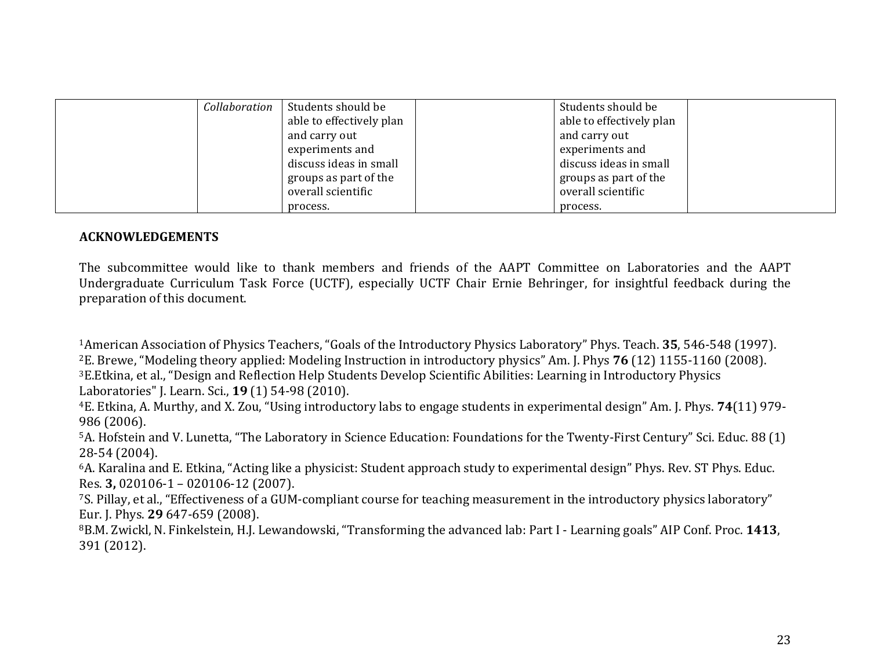| Collaboration | Students should be       | Students should be       |
|---------------|--------------------------|--------------------------|
|               | able to effectively plan | able to effectively plan |
|               | and carry out            | and carry out            |
|               | experiments and          | experiments and          |
|               | discuss ideas in small   | discuss ideas in small   |
|               | groups as part of the    | groups as part of the    |
|               | overall scientific       | overall scientific       |
|               | process.                 | process.                 |

#### **ACKNOWLEDGEMENTS**

The subcommittee would like to thank members and friends of the AAPT Committee on Laboratories and the AAPT Undergraduate Curriculum Task Force (UCTF), especially UCTF Chair Ernie Behringer, for insightful feedback during the preparation of this document.

<sup>1</sup>American Association of Physics Teachers, "Goals of the Introductory Physics Laboratory" Phys. Teach. **35**, 546-548 (1997). <sup>2</sup>E. Brewe, "Modeling theory applied: Modeling Instruction in introductory physics" Am. J. Phys **76** (12) 1155-1160 (2008). <sup>3</sup>E. Etkina, et al., "Design and Reflection Help Students Develop Scientific Abilities: Learning in Introductory Physics Laboratories" J. Learn. Sci., **19** (1) 54-98 (2010).

<sup>4</sup>E. Etkina, A. Murthy, and X. Zou, "Using introductory labs to engage students in experimental design" Am. J. Phys. **74**(11) 979-986 (2006).

5A. Hofstein and V. Lunetta, "The Laboratory in Science Education: Foundations for the Twenty-First Century" Sci. Educ. 88 (1) 28-54 (2004).

 $6A$ . Karalina and E. Etkina, "Acting like a physicist: Student approach study to experimental design" Phys. Rev. ST Phys. Educ. Res. 3, 020106-1 – 020106-12 (2007).

7S. Pillay, et al., "Effectiveness of a GUM-compliant course for teaching measurement in the introductory physics laboratory" Eur. J. Phys. 29 647-659 (2008).

<sup>8</sup>B.M. Zwickl, N. Finkelstein, H.J. Lewandowski, "Transforming the advanced lab: Part I - Learning goals" AIP Conf. Proc. 1413, 391 (2012).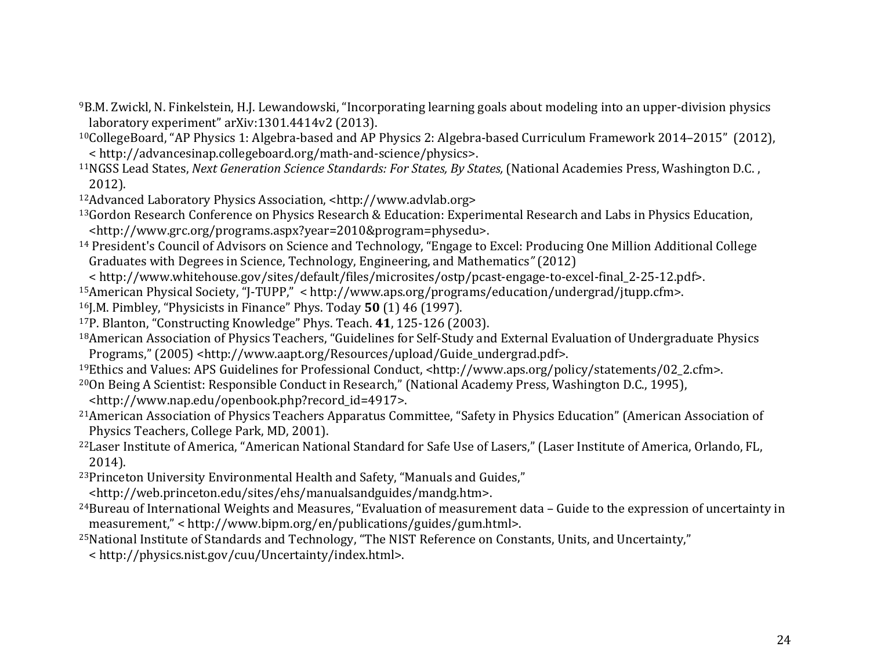- <sup>9</sup>B.M. Zwickl, N. Finkelstein, H.J. Lewandowski, "Incorporating learning goals about modeling into an upper-division physics" laboratory experiment" arXiv:1301.4414v2 (2013).
- $10$ CollegeBoard, "AP Physics 1: Algebra-based and AP Physics 2: Algebra-based Curriculum Framework 2014–2015" (2012), < http://advancesinap.collegeboard.org/math-and-science/physics>.
- 11NGSS Lead States, *Next Generation Science Standards: For States, By States,* (National Academies Press, Washington D.C., 2012).
- <sup>12</sup>Advanced Laboratory Physics Association, <http://www.advlab.org>
- <sup>13</sup>Gordon Research Conference on Physics Research & Education: Experimental Research and Labs in Physics Education, <http://www.grc.org/programs.aspx?year=2010&program=physedu>.
- <sup>14</sup> President's Council of Advisors on Science and Technology, "Engage to Excel: Producing One Million Additional College Graduates with Degrees in Science, Technology, Engineering, and Mathematics" (2012)
- < http://www.whitehouse.gov/sites/default/files/microsites/ostp/pcast-engage-to-excel-final 2-25-12.pdf>.
- $15$ American Physical Society, "J-TUPP," < http://www.aps.org/programs/education/undergrad/jtupp.cfm>.
- <sup>16</sup>J.M. Pimbley, "Physicists in Finance" Phys. Today **50** (1) 46 (1997).
- <sup>17</sup>P. Blanton, "Constructing Knowledge" Phys. Teach. 41, 125-126 (2003).
- <sup>18</sup>American Association of Physics Teachers, "Guidelines for Self-Study and External Evaluation of Undergraduate Physics Programs," (2005) <http://www.aapt.org/Resources/upload/Guide\_undergrad.pdf>.
- <sup>19</sup>Ethics and Values: APS Guidelines for Professional Conduct, <http://www.aps.org/policy/statements/02\_2.cfm>.
- <sup>20</sup>On Being A Scientist: Responsible Conduct in Research," (National Academy Press, Washington D.C., 1995), <http://www.nap.edu/openbook.php?record\_id=4917>.
- <sup>21</sup>American Association of Physics Teachers Apparatus Committee, "Safety in Physics Education" (American Association of Physics Teachers, College Park, MD, 2001).
- <sup>22</sup>Laser Institute of America, "American National Standard for Safe Use of Lasers," (Laser Institute of America, Orlando, FL, 2014).
- <sup>23</sup>Princeton University Environmental Health and Safety, "Manuals and Guides," <http://web.princeton.edu/sites/ehs/manualsandguides/mandg.htm>.
- <sup>24</sup>Bureau of International Weights and Measures, "Evaluation of measurement data Guide to the expression of uncertainty in measurement,""< http://www.bipm.org/en/publications/guides/gum.html>.
- <sup>25</sup>National Institute of Standards and Technology, "The NIST Reference on Constants, Units, and Uncertainty," < http://physics.nist.gov/cuu/Uncertainty/index.html>.